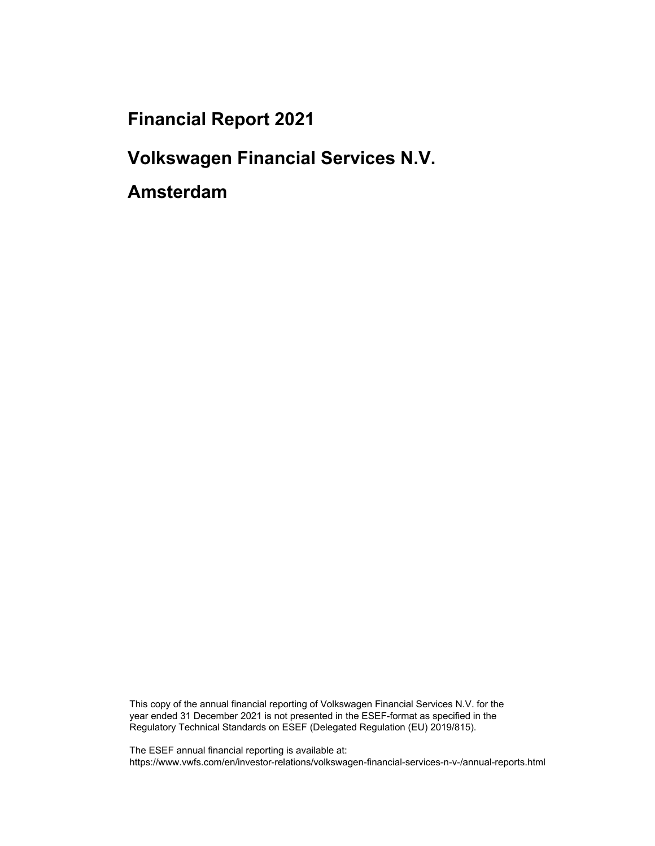**Financial Report 2021** 

**Volkswagen Financial Services N.V.** 

**Amsterdam** 

This copy of the annual financial reporting of Volkswagen Financial Services N.V. for the year ended 31 December 2021 is not presented in the ESEF-format as specified in the Regulatory Technical Standards on ESEF (Delegated Regulation (EU) 2019/815).

The ESEF annual financial reporting is available at: https://www.vwfs.com/en/investor-relations/volkswagen-financial-services-n-v-/annual-reports.html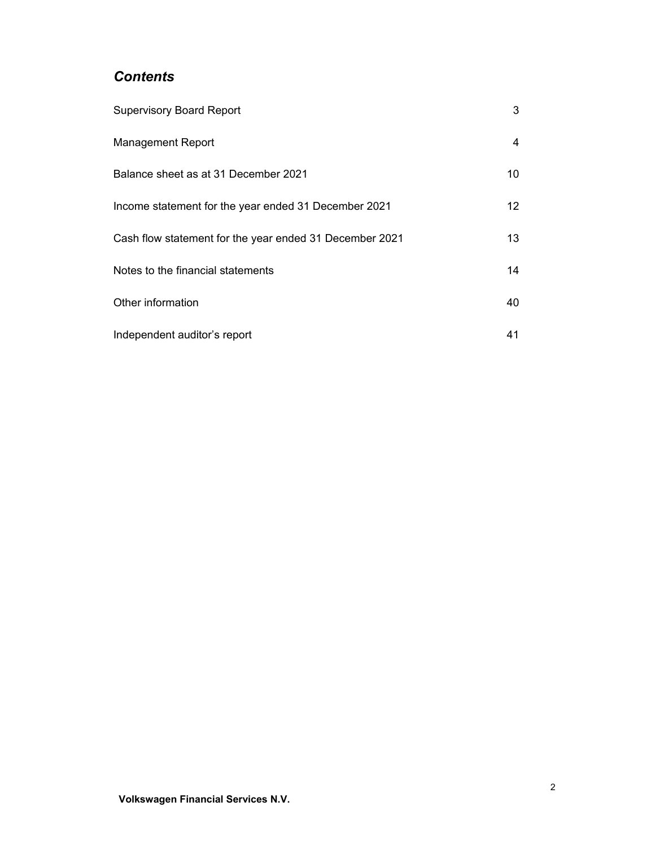# *Contents*

| <b>Supervisory Board Report</b>                         | 3               |
|---------------------------------------------------------|-----------------|
| <b>Management Report</b>                                | 4               |
| Balance sheet as at 31 December 2021                    | 10 <sup>°</sup> |
| Income statement for the year ended 31 December 2021    | 12 <sup>1</sup> |
| Cash flow statement for the year ended 31 December 2021 | 13              |
| Notes to the financial statements                       | 14              |
| Other information                                       | 40              |
| Independent auditor's report                            | 41              |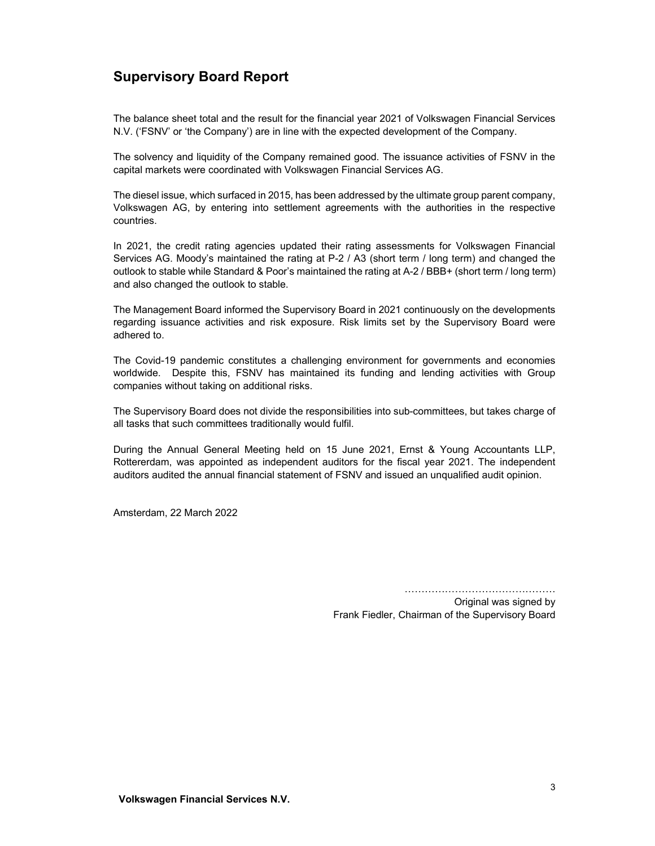# **Supervisory Board Report**

The balance sheet total and the result for the financial year 2021 of Volkswagen Financial Services N.V. ('FSNV' or 'the Company') are in line with the expected development of the Company.

The solvency and liquidity of the Company remained good. The issuance activities of FSNV in the capital markets were coordinated with Volkswagen Financial Services AG.

The diesel issue, which surfaced in 2015, has been addressed by the ultimate group parent company, Volkswagen AG, by entering into settlement agreements with the authorities in the respective countries.

In 2021, the credit rating agencies updated their rating assessments for Volkswagen Financial Services AG. Moody's maintained the rating at P-2 / A3 (short term / long term) and changed the outlook to stable while Standard & Poor's maintained the rating at A-2 / BBB+ (short term / long term) and also changed the outlook to stable.

The Management Board informed the Supervisory Board in 2021 continuously on the developments regarding issuance activities and risk exposure. Risk limits set by the Supervisory Board were adhered to.

The Covid-19 pandemic constitutes a challenging environment for governments and economies worldwide. Despite this, FSNV has maintained its funding and lending activities with Group companies without taking on additional risks.

The Supervisory Board does not divide the responsibilities into sub-committees, but takes charge of all tasks that such committees traditionally would fulfil.

During the Annual General Meeting held on 15 June 2021, Ernst & Young Accountants LLP, Rottererdam, was appointed as independent auditors for the fiscal year 2021. The independent auditors audited the annual financial statement of FSNV and issued an unqualified audit opinion.

Amsterdam, 22 March 2022

………………………………………

Original was signed by Frank Fiedler, Chairman of the Supervisory Board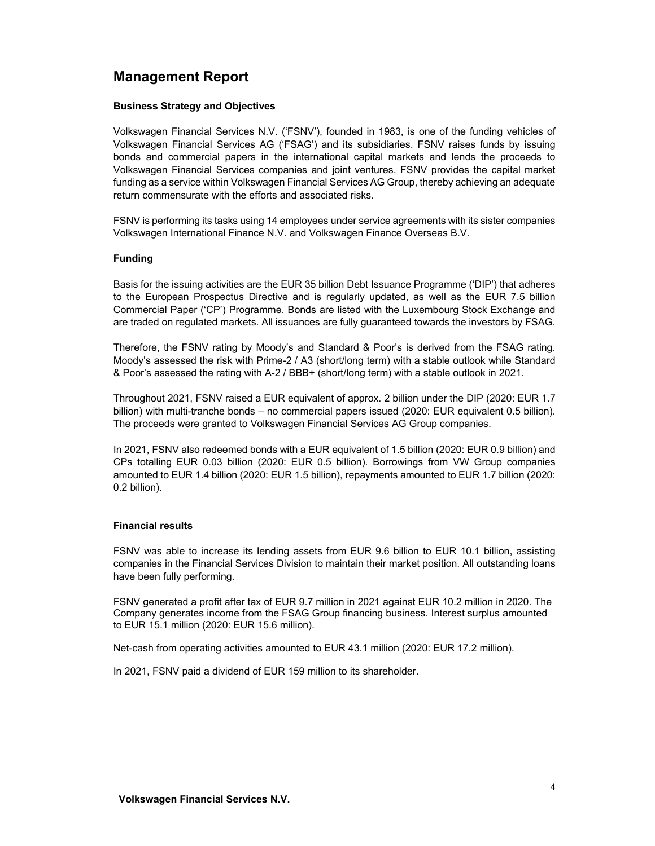# **Management Report**

#### **Business Strategy and Objectives**

Volkswagen Financial Services N.V. ('FSNV'), founded in 1983, is one of the funding vehicles of Volkswagen Financial Services AG ('FSAG') and its subsidiaries. FSNV raises funds by issuing bonds and commercial papers in the international capital markets and lends the proceeds to Volkswagen Financial Services companies and joint ventures. FSNV provides the capital market funding as a service within Volkswagen Financial Services AG Group, thereby achieving an adequate return commensurate with the efforts and associated risks.

FSNV is performing its tasks using 14 employees under service agreements with its sister companies Volkswagen International Finance N.V. and Volkswagen Finance Overseas B.V.

#### **Funding**

Basis for the issuing activities are the EUR 35 billion Debt Issuance Programme ('DIP') that adheres to the European Prospectus Directive and is regularly updated, as well as the EUR 7.5 billion Commercial Paper ('CP') Programme. Bonds are listed with the Luxembourg Stock Exchange and are traded on regulated markets. All issuances are fully guaranteed towards the investors by FSAG.

Therefore, the FSNV rating by Moody's and Standard & Poor's is derived from the FSAG rating. Moody's assessed the risk with Prime-2 / A3 (short/long term) with a stable outlook while Standard & Poor's assessed the rating with A-2 / BBB+ (short/long term) with a stable outlook in 2021.

Throughout 2021, FSNV raised a EUR equivalent of approx. 2 billion under the DIP (2020: EUR 1.7 billion) with multi-tranche bonds – no commercial papers issued (2020: EUR equivalent 0.5 billion). The proceeds were granted to Volkswagen Financial Services AG Group companies.

In 2021, FSNV also redeemed bonds with a EUR equivalent of 1.5 billion (2020: EUR 0.9 billion) and CPs totalling EUR 0.03 billion (2020: EUR 0.5 billion). Borrowings from VW Group companies amounted to EUR 1.4 billion (2020: EUR 1.5 billion), repayments amounted to EUR 1.7 billion (2020: 0.2 billion).

#### **Financial results**

FSNV was able to increase its lending assets from EUR 9.6 billion to EUR 10.1 billion, assisting companies in the Financial Services Division to maintain their market position. All outstanding loans have been fully performing.

FSNV generated a profit after tax of EUR 9.7 million in 2021 against EUR 10.2 million in 2020. The Company generates income from the FSAG Group financing business. Interest surplus amounted to EUR 15.1 million (2020: EUR 15.6 million).

Net-cash from operating activities amounted to EUR 43.1 million (2020: EUR 17.2 million).

In 2021, FSNV paid a dividend of EUR 159 million to its shareholder.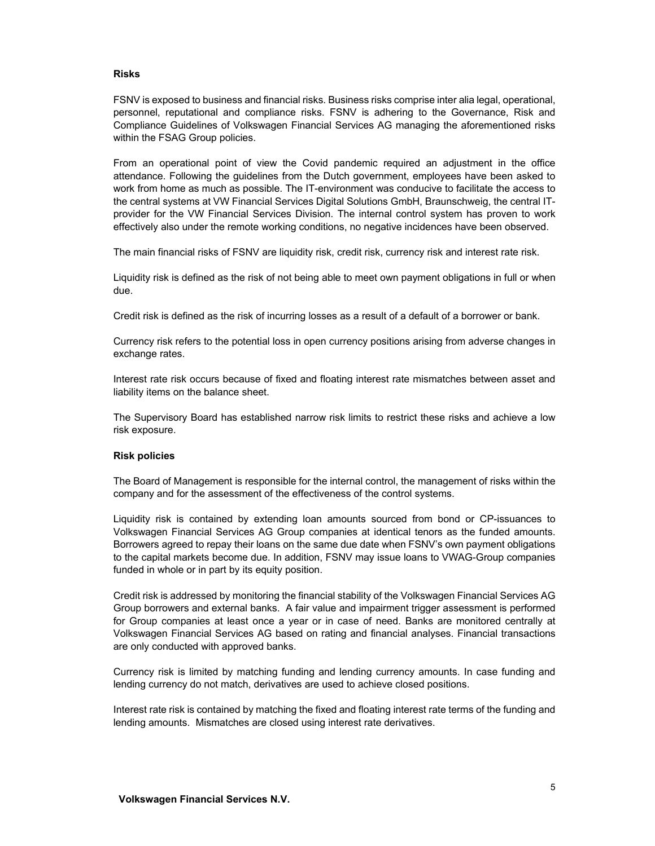#### **Risks**

FSNV is exposed to business and financial risks. Business risks comprise inter alia legal, operational, personnel, reputational and compliance risks. FSNV is adhering to the Governance, Risk and Compliance Guidelines of Volkswagen Financial Services AG managing the aforementioned risks within the FSAG Group policies.

From an operational point of view the Covid pandemic required an adjustment in the office attendance. Following the guidelines from the Dutch government, employees have been asked to work from home as much as possible. The IT-environment was conducive to facilitate the access to the central systems at VW Financial Services Digital Solutions GmbH, Braunschweig, the central ITprovider for the VW Financial Services Division. The internal control system has proven to work effectively also under the remote working conditions, no negative incidences have been observed.

The main financial risks of FSNV are liquidity risk, credit risk, currency risk and interest rate risk.

Liquidity risk is defined as the risk of not being able to meet own payment obligations in full or when due.

Credit risk is defined as the risk of incurring losses as a result of a default of a borrower or bank.

Currency risk refers to the potential loss in open currency positions arising from adverse changes in exchange rates.

Interest rate risk occurs because of fixed and floating interest rate mismatches between asset and liability items on the balance sheet.

The Supervisory Board has established narrow risk limits to restrict these risks and achieve a low risk exposure.

#### **Risk policies**

The Board of Management is responsible for the internal control, the management of risks within the company and for the assessment of the effectiveness of the control systems.

Liquidity risk is contained by extending loan amounts sourced from bond or CP-issuances to Volkswagen Financial Services AG Group companies at identical tenors as the funded amounts. Borrowers agreed to repay their loans on the same due date when FSNV's own payment obligations to the capital markets become due. In addition, FSNV may issue loans to VWAG-Group companies funded in whole or in part by its equity position.

Credit risk is addressed by monitoring the financial stability of the Volkswagen Financial Services AG Group borrowers and external banks. A fair value and impairment trigger assessment is performed for Group companies at least once a year or in case of need. Banks are monitored centrally at Volkswagen Financial Services AG based on rating and financial analyses. Financial transactions are only conducted with approved banks.

Currency risk is limited by matching funding and lending currency amounts. In case funding and lending currency do not match, derivatives are used to achieve closed positions.

Interest rate risk is contained by matching the fixed and floating interest rate terms of the funding and lending amounts. Mismatches are closed using interest rate derivatives.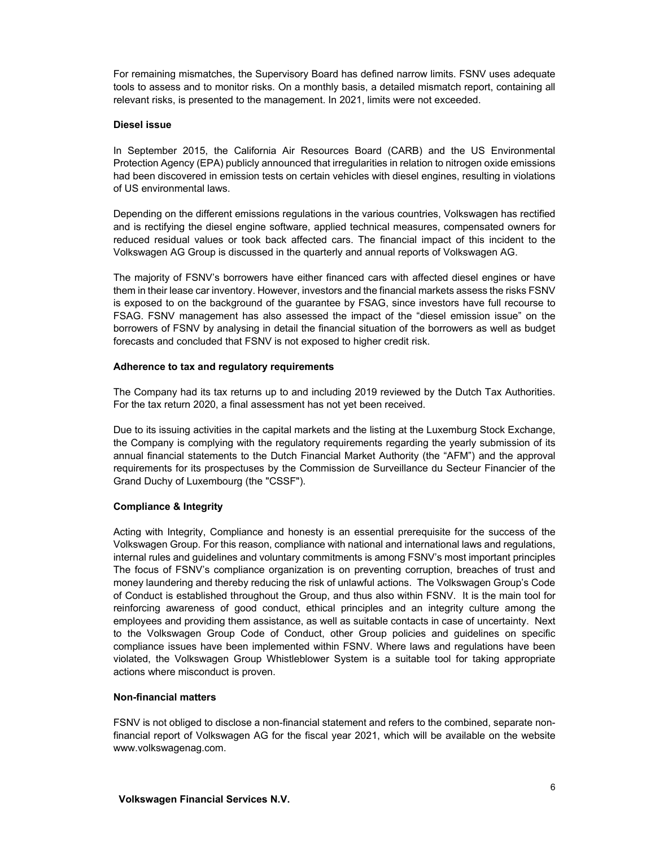For remaining mismatches, the Supervisory Board has defined narrow limits. FSNV uses adequate tools to assess and to monitor risks. On a monthly basis, a detailed mismatch report, containing all relevant risks, is presented to the management. In 2021, limits were not exceeded.

#### **Diesel issue**

In September 2015, the California Air Resources Board (CARB) and the US Environmental Protection Agency (EPA) publicly announced that irregularities in relation to nitrogen oxide emissions had been discovered in emission tests on certain vehicles with diesel engines, resulting in violations of US environmental laws.

Depending on the different emissions regulations in the various countries, Volkswagen has rectified and is rectifying the diesel engine software, applied technical measures, compensated owners for reduced residual values or took back affected cars. The financial impact of this incident to the Volkswagen AG Group is discussed in the quarterly and annual reports of Volkswagen AG.

The majority of FSNV's borrowers have either financed cars with affected diesel engines or have them in their lease car inventory. However, investors and the financial markets assess the risks FSNV is exposed to on the background of the guarantee by FSAG, since investors have full recourse to FSAG. FSNV management has also assessed the impact of the "diesel emission issue" on the borrowers of FSNV by analysing in detail the financial situation of the borrowers as well as budget forecasts and concluded that FSNV is not exposed to higher credit risk.

#### **Adherence to tax and regulatory requirements**

The Company had its tax returns up to and including 2019 reviewed by the Dutch Tax Authorities. For the tax return 2020, a final assessment has not yet been received.

Due to its issuing activities in the capital markets and the listing at the Luxemburg Stock Exchange, the Company is complying with the regulatory requirements regarding the yearly submission of its annual financial statements to the Dutch Financial Market Authority (the "AFM") and the approval requirements for its prospectuses by the Commission de Surveillance du Secteur Financier of the Grand Duchy of Luxembourg (the "CSSF").

#### **Compliance & Integrity**

Acting with Integrity, Compliance and honesty is an essential prerequisite for the success of the Volkswagen Group. For this reason, compliance with national and international laws and regulations, internal rules and guidelines and voluntary commitments is among FSNV's most important principles The focus of FSNV's compliance organization is on preventing corruption, breaches of trust and money laundering and thereby reducing the risk of unlawful actions. The Volkswagen Group's Code of Conduct is established throughout the Group, and thus also within FSNV. It is the main tool for reinforcing awareness of good conduct, ethical principles and an integrity culture among the employees and providing them assistance, as well as suitable contacts in case of uncertainty. Next to the Volkswagen Group Code of Conduct, other Group policies and guidelines on specific compliance issues have been implemented within FSNV. Where laws and regulations have been violated, the Volkswagen Group Whistleblower System is a suitable tool for taking appropriate actions where misconduct is proven.

#### **Non-financial matters**

FSNV is not obliged to disclose a non-financial statement and refers to the combined, separate nonfinancial report of Volkswagen AG for the fiscal year 2021, which will be available on the website www.volkswagenag.com.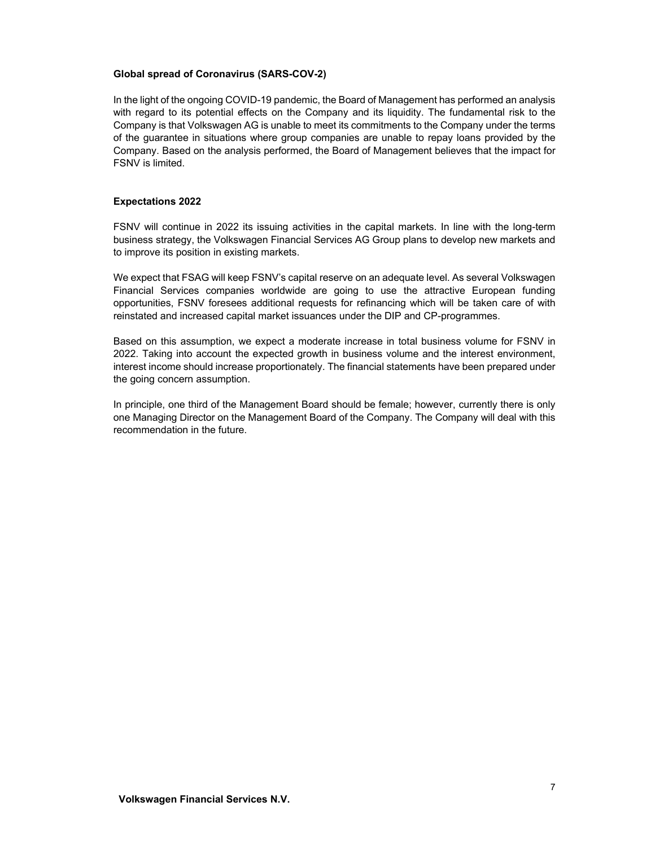#### **Global spread of Coronavirus (SARS-COV-2)**

In the light of the ongoing COVID-19 pandemic, the Board of Management has performed an analysis with regard to its potential effects on the Company and its liquidity. The fundamental risk to the Company is that Volkswagen AG is unable to meet its commitments to the Company under the terms of the guarantee in situations where group companies are unable to repay loans provided by the Company. Based on the analysis performed, the Board of Management believes that the impact for FSNV is limited.

#### **Expectations 2022**

FSNV will continue in 2022 its issuing activities in the capital markets. In line with the long-term business strategy, the Volkswagen Financial Services AG Group plans to develop new markets and to improve its position in existing markets.

We expect that FSAG will keep FSNV's capital reserve on an adequate level. As several Volkswagen Financial Services companies worldwide are going to use the attractive European funding opportunities, FSNV foresees additional requests for refinancing which will be taken care of with reinstated and increased capital market issuances under the DIP and CP-programmes.

Based on this assumption, we expect a moderate increase in total business volume for FSNV in 2022. Taking into account the expected growth in business volume and the interest environment, interest income should increase proportionately. The financial statements have been prepared under the going concern assumption.

In principle, one third of the Management Board should be female; however, currently there is only one Managing Director on the Management Board of the Company. The Company will deal with this recommendation in the future.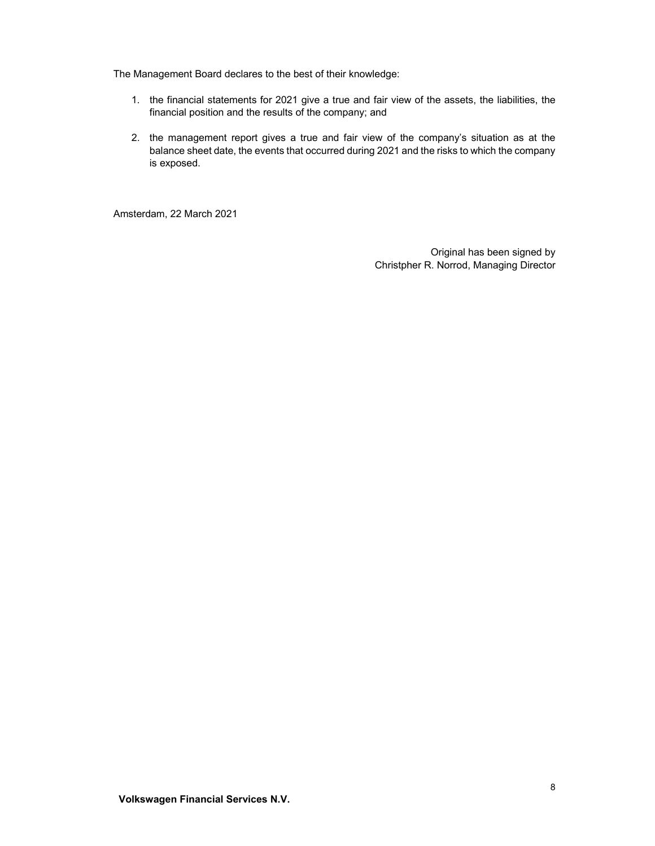The Management Board declares to the best of their knowledge:

- 1. the financial statements for 2021 give a true and fair view of the assets, the liabilities, the financial position and the results of the company; and
- 2. the management report gives a true and fair view of the company's situation as at the balance sheet date, the events that occurred during 2021 and the risks to which the company is exposed.

Amsterdam, 22 March 2021

Original has been signed by Christpher R. Norrod, Managing Director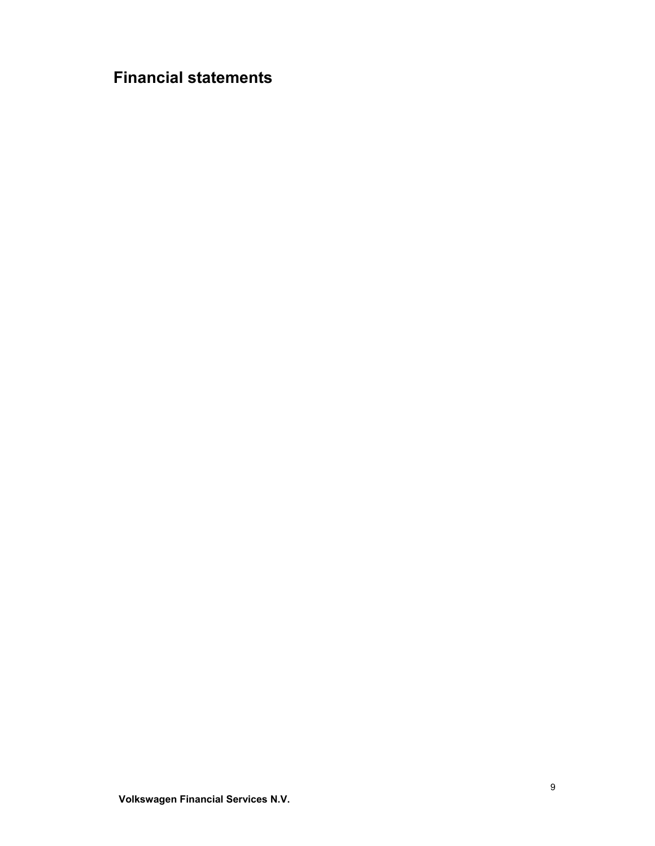# **Financial statements**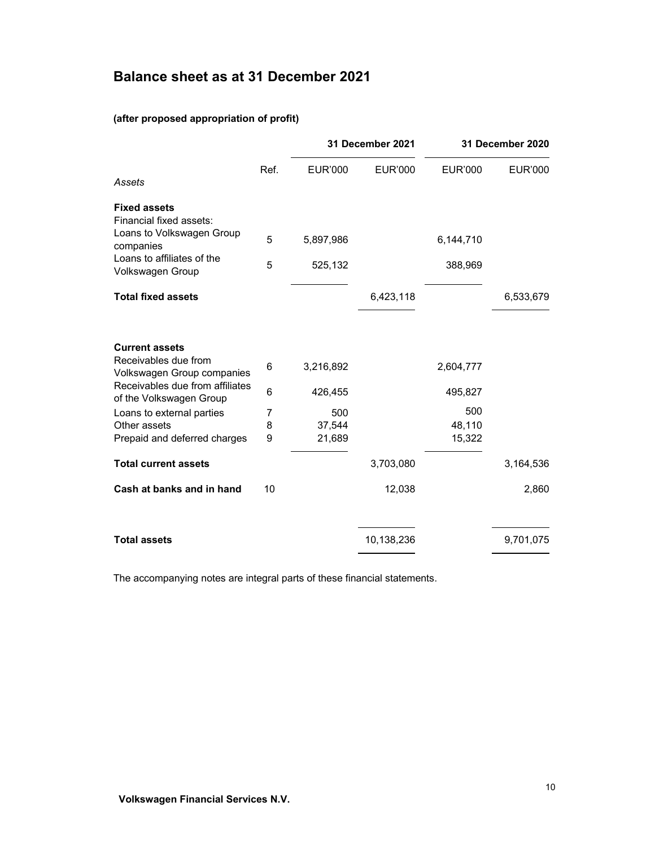# **Balance sheet as at 31 December 2021**

# **(after proposed appropriation of profit)**

|      |           |                  |                  | 31 December 2020        |
|------|-----------|------------------|------------------|-------------------------|
| Ref. | EUR'000   | <b>EUR'000</b>   | <b>EUR'000</b>   | EUR'000                 |
|      |           |                  |                  |                         |
|      |           |                  |                  |                         |
| 5    | 5,897,986 |                  | 6,144,710        |                         |
| 5    | 525,132   |                  | 388,969          |                         |
|      |           | 6,423,118        |                  | 6,533,679               |
|      |           |                  |                  |                         |
| 6    | 3,216,892 |                  | 2,604,777        |                         |
| 6    | 426,455   |                  | 495,827          |                         |
| 7    | 500       |                  |                  |                         |
|      |           |                  |                  |                         |
|      |           |                  |                  |                         |
|      |           | 3,703,080        |                  | 3,164,536               |
| 10   |           | 12,038           |                  | 2,860                   |
|      |           | 10,138,236       |                  | 9,701,075               |
|      | 8<br>9    | 37,544<br>21,689 | 31 December 2021 | 500<br>48,110<br>15,322 |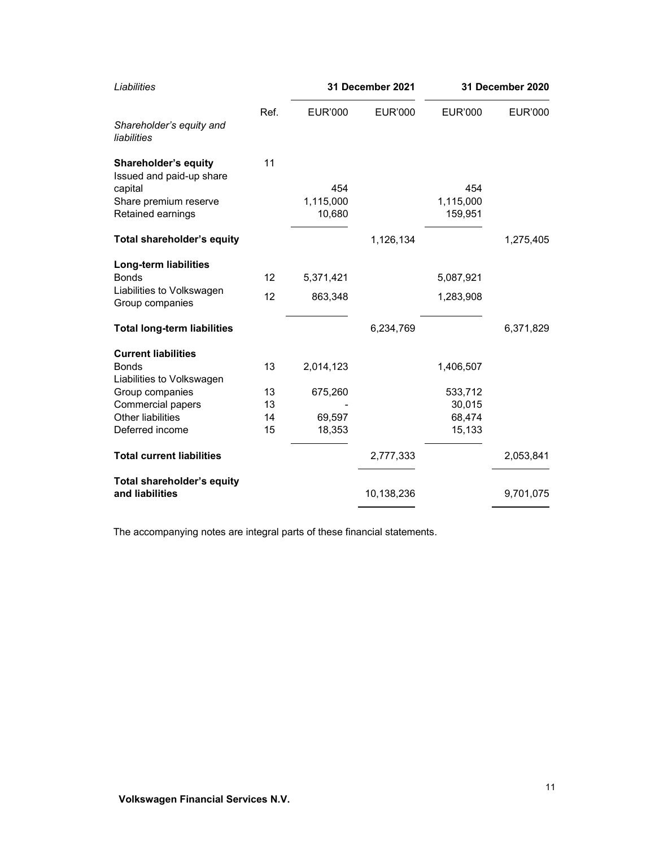| <b>EUR'000</b><br>454<br>1,115,000<br>10,680 | EUR'000              | <b>EUR'000</b><br>454<br>1,115,000<br>159,951 | EUR'000                |
|----------------------------------------------|----------------------|-----------------------------------------------|------------------------|
|                                              |                      |                                               |                        |
|                                              |                      |                                               |                        |
|                                              |                      |                                               |                        |
|                                              |                      |                                               |                        |
|                                              |                      |                                               |                        |
|                                              |                      |                                               |                        |
|                                              | 1,126,134            |                                               | 1,275,405              |
|                                              |                      |                                               |                        |
|                                              |                      |                                               |                        |
|                                              |                      |                                               |                        |
|                                              |                      |                                               |                        |
|                                              | 6,234,769            |                                               | 6,371,829              |
|                                              |                      |                                               |                        |
| 2,014,123                                    |                      | 1,406,507                                     |                        |
|                                              |                      |                                               |                        |
| 675,260                                      |                      | 533,712                                       |                        |
|                                              |                      | 30,015                                        |                        |
| 69,597                                       |                      | 68,474                                        |                        |
| 18,353                                       |                      | 15,133                                        |                        |
|                                              | 2,777,333            |                                               | 2,053,841              |
|                                              |                      |                                               | 9,701,075              |
|                                              | 5,371,421<br>863,348 | 10,138,236                                    | 5,087,921<br>1,283,908 |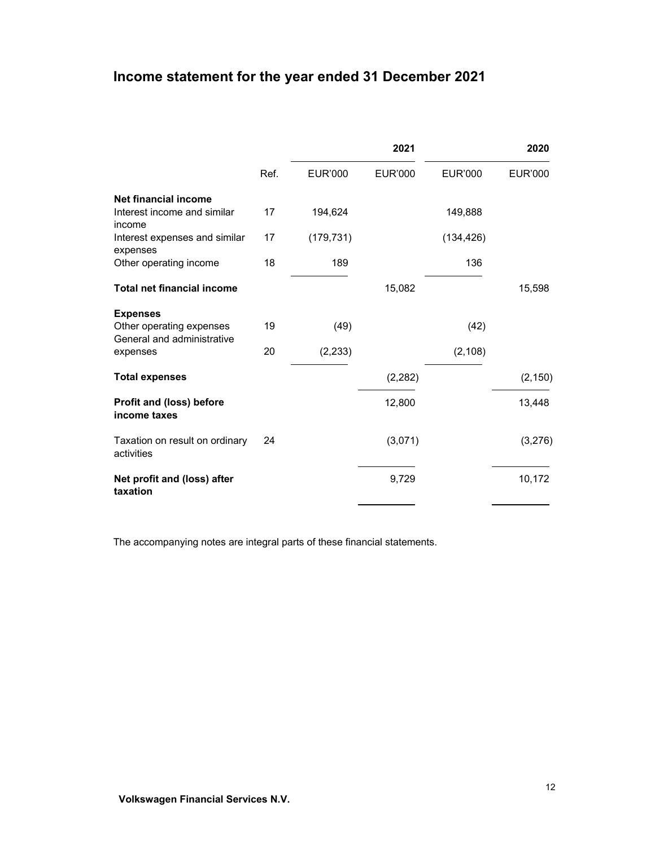# **Income statement for the year ended 31 December 2021**

|                                                        |      |                | 2021           |                | 2020           |
|--------------------------------------------------------|------|----------------|----------------|----------------|----------------|
|                                                        | Ref. | <b>EUR'000</b> | <b>EUR'000</b> | <b>EUR'000</b> | <b>EUR'000</b> |
| Net financial income                                   |      |                |                |                |                |
| Interest income and similar<br>income                  | 17   | 194,624        |                | 149,888        |                |
| Interest expenses and similar<br>expenses              | 17   | (179, 731)     |                | (134, 426)     |                |
| Other operating income                                 | 18   | 189            |                | 136            |                |
| <b>Total net financial income</b>                      |      |                | 15,082         |                | 15,598         |
| <b>Expenses</b>                                        |      |                |                |                |                |
| Other operating expenses<br>General and administrative | 19   | (49)           |                | (42)           |                |
| expenses                                               | 20   | (2, 233)       |                | (2, 108)       |                |
| <b>Total expenses</b>                                  |      |                | (2, 282)       |                | (2, 150)       |
| Profit and (loss) before<br>income taxes               |      |                | 12,800         |                | 13,448         |
| Taxation on result on ordinary<br>activities           | 24   |                | (3,071)        |                | (3,276)        |
| Net profit and (loss) after<br>taxation                |      |                | 9,729          |                | 10,172         |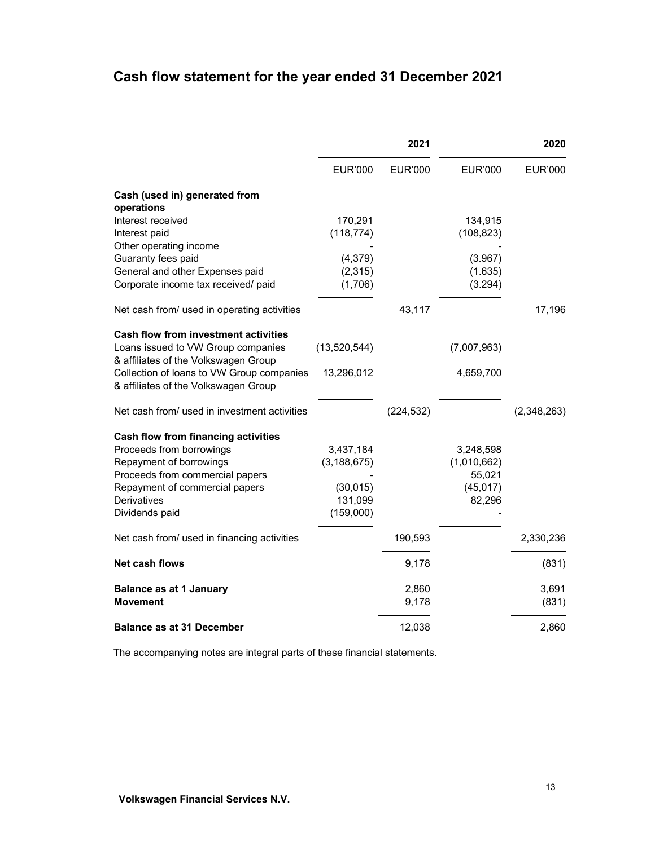# **Cash flow statement for the year ended 31 December 2021**

|                                                                                                                                                                                                  | 2021                                                            |                |                                                           | 2020           |
|--------------------------------------------------------------------------------------------------------------------------------------------------------------------------------------------------|-----------------------------------------------------------------|----------------|-----------------------------------------------------------|----------------|
|                                                                                                                                                                                                  | <b>EUR'000</b>                                                  | <b>EUR'000</b> | <b>EUR'000</b>                                            | <b>EUR'000</b> |
| Cash (used in) generated from<br>operations                                                                                                                                                      |                                                                 |                |                                                           |                |
| Interest received<br>Interest paid                                                                                                                                                               | 170,291<br>(118, 774)                                           |                | 134,915<br>(108, 823)                                     |                |
| Other operating income<br>Guaranty fees paid<br>General and other Expenses paid<br>Corporate income tax received/ paid                                                                           | (4, 379)<br>(2,315)<br>(1,706)                                  |                | (3.967)<br>(1.635)<br>(3.294)                             |                |
| Net cash from/ used in operating activities                                                                                                                                                      |                                                                 | 43,117         |                                                           | 17,196         |
| <b>Cash flow from investment activities</b><br>Loans issued to VW Group companies<br>& affiliates of the Volkswagen Group                                                                        | (13,520,544)                                                    |                | (7,007,963)                                               |                |
| Collection of loans to VW Group companies<br>& affiliates of the Volkswagen Group                                                                                                                | 13,296,012                                                      |                | 4,659,700                                                 |                |
| Net cash from/ used in investment activities                                                                                                                                                     |                                                                 | (224, 532)     |                                                           | (2,348,263)    |
| Cash flow from financing activities<br>Proceeds from borrowings<br>Repayment of borrowings<br>Proceeds from commercial papers<br>Repayment of commercial papers<br>Derivatives<br>Dividends paid | 3,437,184<br>(3, 188, 675)<br>(30, 015)<br>131,099<br>(159,000) |                | 3,248,598<br>(1,010,662)<br>55,021<br>(45, 017)<br>82,296 |                |
| Net cash from/ used in financing activities                                                                                                                                                      |                                                                 | 190,593        |                                                           | 2,330,236      |
| Net cash flows                                                                                                                                                                                   |                                                                 | 9,178          |                                                           | (831)          |
| <b>Balance as at 1 January</b><br><b>Movement</b>                                                                                                                                                |                                                                 | 2,860<br>9,178 |                                                           | 3,691<br>(831) |
| <b>Balance as at 31 December</b>                                                                                                                                                                 |                                                                 | 12,038         |                                                           | 2,860          |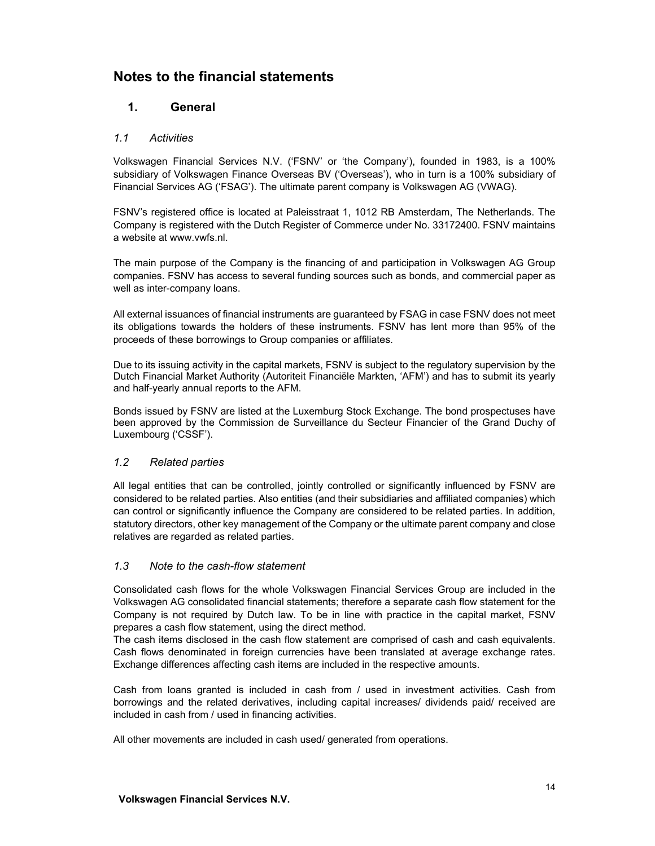# **Notes to the financial statements**

# **1. General**

### *1.1 Activities*

Volkswagen Financial Services N.V. ('FSNV' or 'the Company'), founded in 1983, is a 100% subsidiary of Volkswagen Finance Overseas BV ('Overseas'), who in turn is a 100% subsidiary of Financial Services AG ('FSAG'). The ultimate parent company is Volkswagen AG (VWAG).

FSNV's registered office is located at Paleisstraat 1, 1012 RB Amsterdam, The Netherlands. The Company is registered with the Dutch Register of Commerce under No. 33172400. FSNV maintains a website at www.vwfs.nl.

The main purpose of the Company is the financing of and participation in Volkswagen AG Group companies. FSNV has access to several funding sources such as bonds, and commercial paper as well as inter-company loans.

All external issuances of financial instruments are guaranteed by FSAG in case FSNV does not meet its obligations towards the holders of these instruments. FSNV has lent more than 95% of the proceeds of these borrowings to Group companies or affiliates.

Due to its issuing activity in the capital markets, FSNV is subject to the regulatory supervision by the Dutch Financial Market Authority (Autoriteit Financiële Markten, 'AFM') and has to submit its yearly and half-yearly annual reports to the AFM.

Bonds issued by FSNV are listed at the Luxemburg Stock Exchange. The bond prospectuses have been approved by the Commission de Surveillance du Secteur Financier of the Grand Duchy of Luxembourg ('CSSF').

#### *1.2 Related parties*

All legal entities that can be controlled, jointly controlled or significantly influenced by FSNV are considered to be related parties. Also entities (and their subsidiaries and affiliated companies) which can control or significantly influence the Company are considered to be related parties. In addition, statutory directors, other key management of the Company or the ultimate parent company and close relatives are regarded as related parties.

#### *1.3 Note to the cash-flow statement*

Consolidated cash flows for the whole Volkswagen Financial Services Group are included in the Volkswagen AG consolidated financial statements; therefore a separate cash flow statement for the Company is not required by Dutch law. To be in line with practice in the capital market, FSNV prepares a cash flow statement, using the direct method.

The cash items disclosed in the cash flow statement are comprised of cash and cash equivalents. Cash flows denominated in foreign currencies have been translated at average exchange rates. Exchange differences affecting cash items are included in the respective amounts.

Cash from loans granted is included in cash from / used in investment activities. Cash from borrowings and the related derivatives, including capital increases/ dividends paid/ received are included in cash from / used in financing activities.

All other movements are included in cash used/ generated from operations.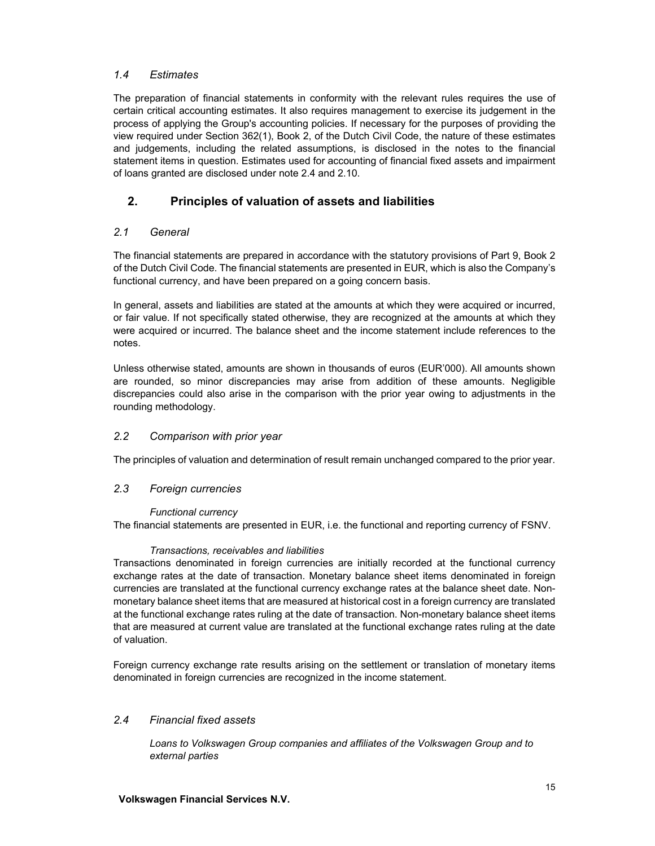### *1.4 Estimates*

The preparation of financial statements in conformity with the relevant rules requires the use of certain critical accounting estimates. It also requires management to exercise its judgement in the process of applying the Group's accounting policies. If necessary for the purposes of providing the view required under Section 362(1), Book 2, of the Dutch Civil Code, the nature of these estimates and judgements, including the related assumptions, is disclosed in the notes to the financial statement items in question. Estimates used for accounting of financial fixed assets and impairment of loans granted are disclosed under note 2.4 and 2.10.

# **2. Principles of valuation of assets and liabilities**

## *2.1 General*

The financial statements are prepared in accordance with the statutory provisions of Part 9, Book 2 of the Dutch Civil Code. The financial statements are presented in EUR, which is also the Company's functional currency, and have been prepared on a going concern basis.

In general, assets and liabilities are stated at the amounts at which they were acquired or incurred, or fair value. If not specifically stated otherwise, they are recognized at the amounts at which they were acquired or incurred. The balance sheet and the income statement include references to the notes.

Unless otherwise stated, amounts are shown in thousands of euros (EUR'000). All amounts shown are rounded, so minor discrepancies may arise from addition of these amounts. Negligible discrepancies could also arise in the comparison with the prior year owing to adjustments in the rounding methodology.

## *2.2 Comparison with prior year*

The principles of valuation and determination of result remain unchanged compared to the prior year.

#### *2.3 Foreign currencies*

#### *Functional currency*

The financial statements are presented in EUR, i.e. the functional and reporting currency of FSNV.

#### *Transactions, receivables and liabilities*

Transactions denominated in foreign currencies are initially recorded at the functional currency exchange rates at the date of transaction. Monetary balance sheet items denominated in foreign currencies are translated at the functional currency exchange rates at the balance sheet date. Nonmonetary balance sheet items that are measured at historical cost in a foreign currency are translated at the functional exchange rates ruling at the date of transaction. Non-monetary balance sheet items that are measured at current value are translated at the functional exchange rates ruling at the date of valuation.

Foreign currency exchange rate results arising on the settlement or translation of monetary items denominated in foreign currencies are recognized in the income statement.

#### *2.4 Financial fixed assets*

*Loans to Volkswagen Group companies and affiliates of the Volkswagen Group and to external parties*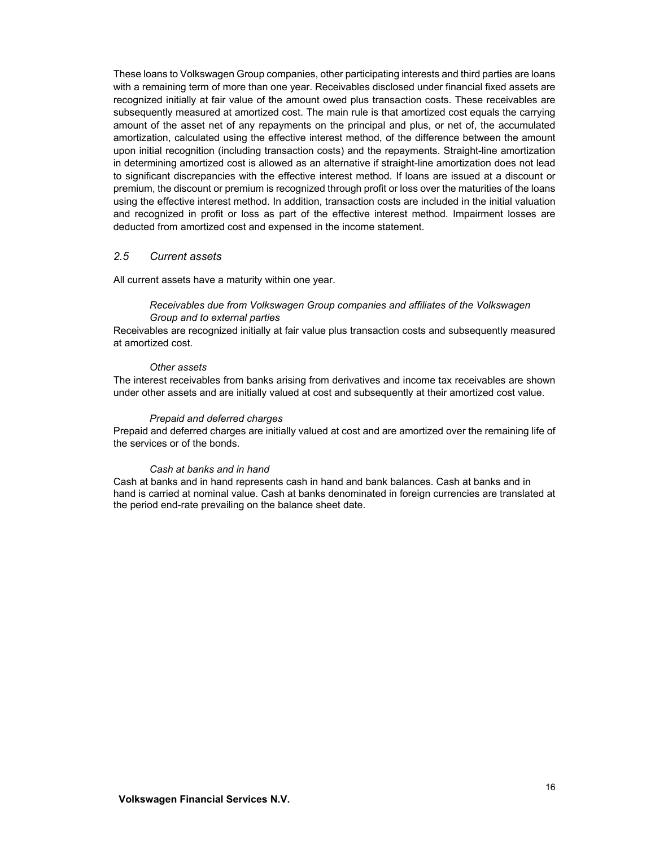These loans to Volkswagen Group companies, other participating interests and third parties are loans with a remaining term of more than one year. Receivables disclosed under financial fixed assets are recognized initially at fair value of the amount owed plus transaction costs. These receivables are subsequently measured at amortized cost. The main rule is that amortized cost equals the carrying amount of the asset net of any repayments on the principal and plus, or net of, the accumulated amortization, calculated using the effective interest method, of the difference between the amount upon initial recognition (including transaction costs) and the repayments. Straight-line amortization in determining amortized cost is allowed as an alternative if straight-line amortization does not lead to significant discrepancies with the effective interest method. If loans are issued at a discount or premium, the discount or premium is recognized through profit or loss over the maturities of the loans using the effective interest method. In addition, transaction costs are included in the initial valuation and recognized in profit or loss as part of the effective interest method. Impairment losses are deducted from amortized cost and expensed in the income statement.

#### *2.5 Current assets*

All current assets have a maturity within one year.

#### *Receivables due from Volkswagen Group companies and affiliates of the Volkswagen Group and to external parties*

Receivables are recognized initially at fair value plus transaction costs and subsequently measured at amortized cost.

#### *Other assets*

The interest receivables from banks arising from derivatives and income tax receivables are shown under other assets and are initially valued at cost and subsequently at their amortized cost value.

#### *Prepaid and deferred charges*

Prepaid and deferred charges are initially valued at cost and are amortized over the remaining life of the services or of the bonds.

#### *Cash at banks and in hand*

Cash at banks and in hand represents cash in hand and bank balances. Cash at banks and in hand is carried at nominal value. Cash at banks denominated in foreign currencies are translated at the period end-rate prevailing on the balance sheet date.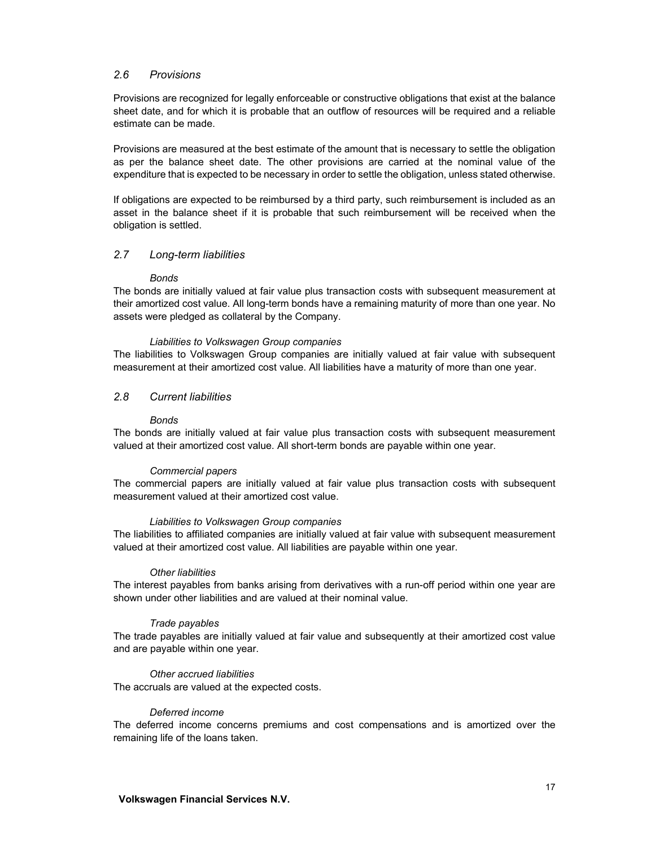#### *2.6 Provisions*

Provisions are recognized for legally enforceable or constructive obligations that exist at the balance sheet date, and for which it is probable that an outflow of resources will be required and a reliable estimate can be made.

Provisions are measured at the best estimate of the amount that is necessary to settle the obligation as per the balance sheet date. The other provisions are carried at the nominal value of the expenditure that is expected to be necessary in order to settle the obligation, unless stated otherwise.

If obligations are expected to be reimbursed by a third party, such reimbursement is included as an asset in the balance sheet if it is probable that such reimbursement will be received when the obligation is settled.

#### *2.7 Long-term liabilities*

#### *Bonds*

The bonds are initially valued at fair value plus transaction costs with subsequent measurement at their amortized cost value. All long-term bonds have a remaining maturity of more than one year. No assets were pledged as collateral by the Company.

#### *Liabilities to Volkswagen Group companies*

The liabilities to Volkswagen Group companies are initially valued at fair value with subsequent measurement at their amortized cost value. All liabilities have a maturity of more than one year.

#### *2.8 Current liabilities*

#### *Bonds*

The bonds are initially valued at fair value plus transaction costs with subsequent measurement valued at their amortized cost value. All short-term bonds are payable within one year.

#### *Commercial papers*

The commercial papers are initially valued at fair value plus transaction costs with subsequent measurement valued at their amortized cost value.

#### *Liabilities to Volkswagen Group companies*

The liabilities to affiliated companies are initially valued at fair value with subsequent measurement valued at their amortized cost value. All liabilities are payable within one year.

#### *Other liabilities*

The interest payables from banks arising from derivatives with a run-off period within one year are shown under other liabilities and are valued at their nominal value.

#### *Trade payables*

The trade payables are initially valued at fair value and subsequently at their amortized cost value and are payable within one year.

#### *Other accrued liabilities*

The accruals are valued at the expected costs.

#### *Deferred income*

The deferred income concerns premiums and cost compensations and is amortized over the remaining life of the loans taken.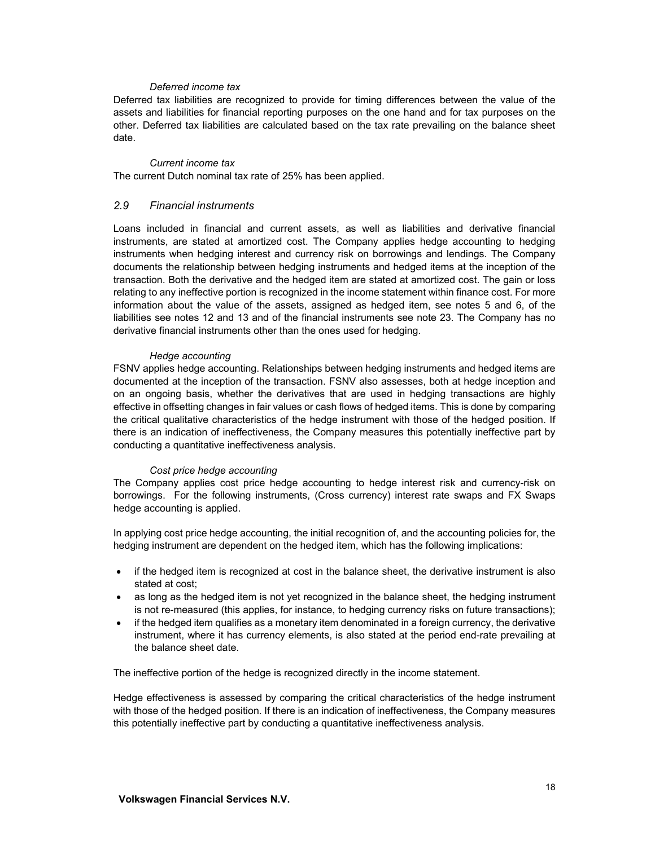#### *Deferred income tax*

Deferred tax liabilities are recognized to provide for timing differences between the value of the assets and liabilities for financial reporting purposes on the one hand and for tax purposes on the other. Deferred tax liabilities are calculated based on the tax rate prevailing on the balance sheet date.

#### *Current income tax*

The current Dutch nominal tax rate of 25% has been applied.

### *2.9 Financial instruments*

Loans included in financial and current assets, as well as liabilities and derivative financial instruments, are stated at amortized cost. The Company applies hedge accounting to hedging instruments when hedging interest and currency risk on borrowings and lendings. The Company documents the relationship between hedging instruments and hedged items at the inception of the transaction. Both the derivative and the hedged item are stated at amortized cost. The gain or loss relating to any ineffective portion is recognized in the income statement within finance cost. For more information about the value of the assets, assigned as hedged item, see notes 5 and 6, of the liabilities see notes 12 and 13 and of the financial instruments see note 23. The Company has no derivative financial instruments other than the ones used for hedging.

#### *Hedge accounting*

FSNV applies hedge accounting. Relationships between hedging instruments and hedged items are documented at the inception of the transaction. FSNV also assesses, both at hedge inception and on an ongoing basis, whether the derivatives that are used in hedging transactions are highly effective in offsetting changes in fair values or cash flows of hedged items. This is done by comparing the critical qualitative characteristics of the hedge instrument with those of the hedged position. If there is an indication of ineffectiveness, the Company measures this potentially ineffective part by conducting a quantitative ineffectiveness analysis.

#### *Cost price hedge accounting*

The Company applies cost price hedge accounting to hedge interest risk and currency-risk on borrowings. For the following instruments, (Cross currency) interest rate swaps and FX Swaps hedge accounting is applied.

In applying cost price hedge accounting, the initial recognition of, and the accounting policies for, the hedging instrument are dependent on the hedged item, which has the following implications:

- if the hedged item is recognized at cost in the balance sheet, the derivative instrument is also stated at cost;
- as long as the hedged item is not yet recognized in the balance sheet, the hedging instrument is not re-measured (this applies, for instance, to hedging currency risks on future transactions);
- if the hedged item qualifies as a monetary item denominated in a foreign currency, the derivative instrument, where it has currency elements, is also stated at the period end-rate prevailing at the balance sheet date.

The ineffective portion of the hedge is recognized directly in the income statement.

Hedge effectiveness is assessed by comparing the critical characteristics of the hedge instrument with those of the hedged position. If there is an indication of ineffectiveness, the Company measures this potentially ineffective part by conducting a quantitative ineffectiveness analysis.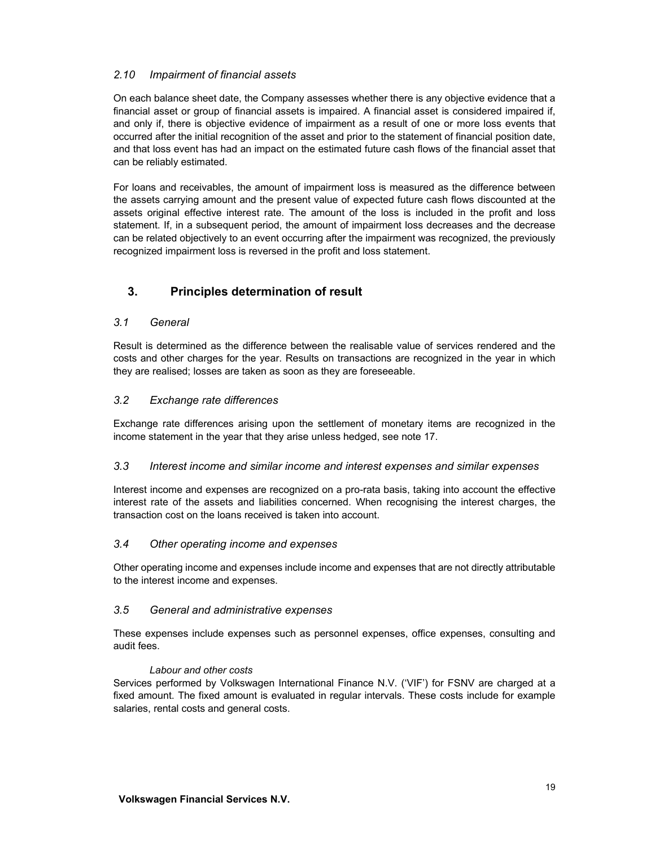### *2.10 Impairment of financial assets*

On each balance sheet date, the Company assesses whether there is any objective evidence that a financial asset or group of financial assets is impaired. A financial asset is considered impaired if, and only if, there is objective evidence of impairment as a result of one or more loss events that occurred after the initial recognition of the asset and prior to the statement of financial position date, and that loss event has had an impact on the estimated future cash flows of the financial asset that can be reliably estimated.

For loans and receivables, the amount of impairment loss is measured as the difference between the assets carrying amount and the present value of expected future cash flows discounted at the assets original effective interest rate. The amount of the loss is included in the profit and loss statement. If, in a subsequent period, the amount of impairment loss decreases and the decrease can be related objectively to an event occurring after the impairment was recognized, the previously recognized impairment loss is reversed in the profit and loss statement.

# **3. Principles determination of result**

### *3.1 General*

Result is determined as the difference between the realisable value of services rendered and the costs and other charges for the year. Results on transactions are recognized in the year in which they are realised; losses are taken as soon as they are foreseeable.

### *3.2 Exchange rate differences*

Exchange rate differences arising upon the settlement of monetary items are recognized in the income statement in the year that they arise unless hedged, see note 17.

#### *3.3 Interest income and similar income and interest expenses and similar expenses*

Interest income and expenses are recognized on a pro-rata basis, taking into account the effective interest rate of the assets and liabilities concerned. When recognising the interest charges, the transaction cost on the loans received is taken into account.

#### *3.4 Other operating income and expenses*

Other operating income and expenses include income and expenses that are not directly attributable to the interest income and expenses.

#### *3.5 General and administrative expenses*

These expenses include expenses such as personnel expenses, office expenses, consulting and audit fees.

#### *Labour and other costs*

Services performed by Volkswagen International Finance N.V. ('VIF') for FSNV are charged at a fixed amount. The fixed amount is evaluated in regular intervals. These costs include for example salaries, rental costs and general costs.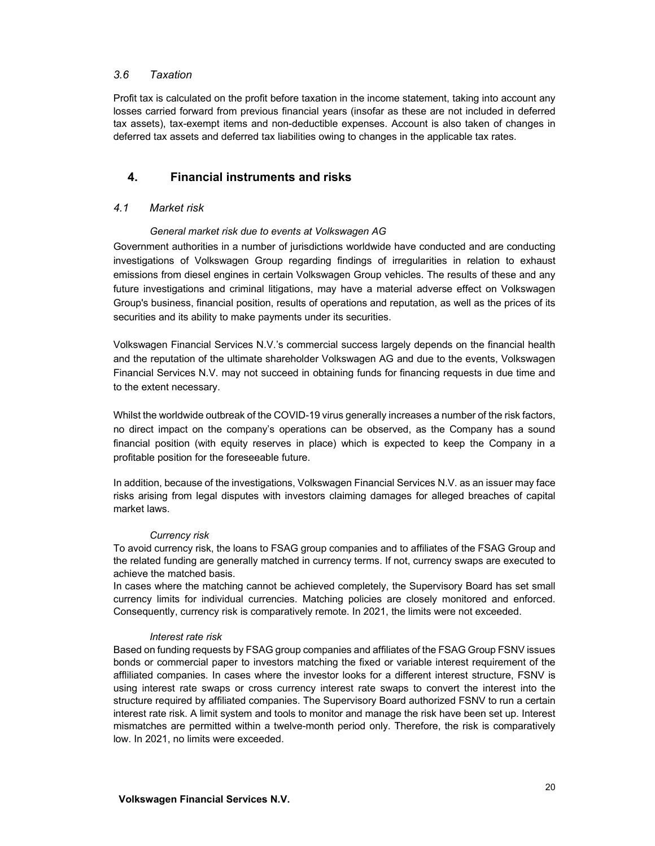#### *3.6 Taxation*

Profit tax is calculated on the profit before taxation in the income statement, taking into account any losses carried forward from previous financial years (insofar as these are not included in deferred tax assets), tax-exempt items and non-deductible expenses. Account is also taken of changes in deferred tax assets and deferred tax liabilities owing to changes in the applicable tax rates.

## **4. Financial instruments and risks**

#### *4.1 Market risk*

### *General market risk due to events at Volkswagen AG*

Government authorities in a number of jurisdictions worldwide have conducted and are conducting investigations of Volkswagen Group regarding findings of irregularities in relation to exhaust emissions from diesel engines in certain Volkswagen Group vehicles. The results of these and any future investigations and criminal litigations, may have a material adverse effect on Volkswagen Group's business, financial position, results of operations and reputation, as well as the prices of its securities and its ability to make payments under its securities.

Volkswagen Financial Services N.V.'s commercial success largely depends on the financial health and the reputation of the ultimate shareholder Volkswagen AG and due to the events, Volkswagen Financial Services N.V. may not succeed in obtaining funds for financing requests in due time and to the extent necessary.

Whilst the worldwide outbreak of the COVID-19 virus generally increases a number of the risk factors, no direct impact on the company's operations can be observed, as the Company has a sound financial position (with equity reserves in place) which is expected to keep the Company in a profitable position for the foreseeable future.

In addition, because of the investigations, Volkswagen Financial Services N.V. as an issuer may face risks arising from legal disputes with investors claiming damages for alleged breaches of capital market laws.

#### *Currency risk*

To avoid currency risk, the loans to FSAG group companies and to affiliates of the FSAG Group and the related funding are generally matched in currency terms. If not, currency swaps are executed to achieve the matched basis.

In cases where the matching cannot be achieved completely, the Supervisory Board has set small currency limits for individual currencies. Matching policies are closely monitored and enforced. Consequently, currency risk is comparatively remote. In 2021, the limits were not exceeded.

#### *Interest rate risk*

Based on funding requests by FSAG group companies and affiliates of the FSAG Group FSNV issues bonds or commercial paper to investors matching the fixed or variable interest requirement of the affliliated companies. In cases where the investor looks for a different interest structure, FSNV is using interest rate swaps or cross currency interest rate swaps to convert the interest into the structure required by affiliated companies. The Supervisory Board authorized FSNV to run a certain interest rate risk. A limit system and tools to monitor and manage the risk have been set up. Interest mismatches are permitted within a twelve-month period only. Therefore, the risk is comparatively low. In 2021, no limits were exceeded.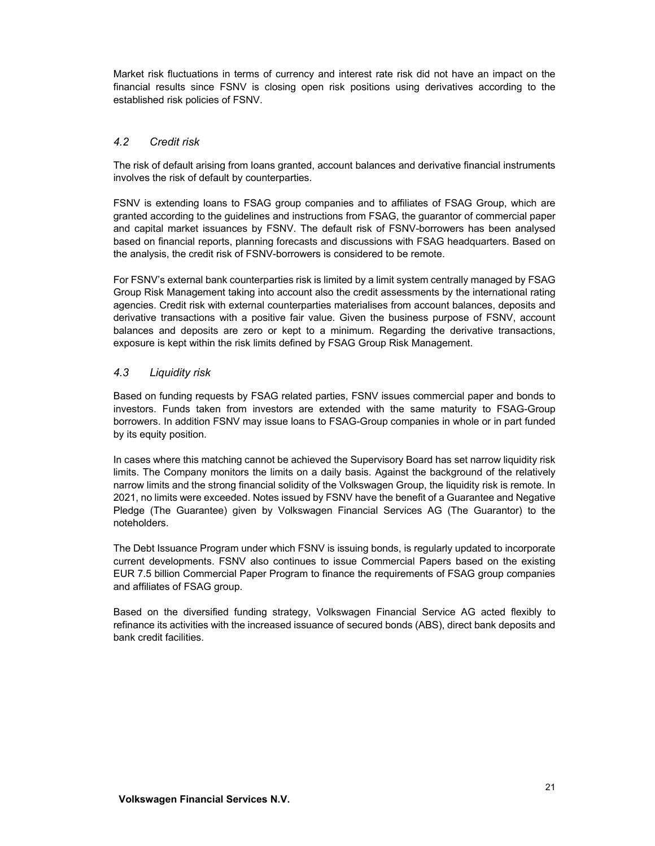Market risk fluctuations in terms of currency and interest rate risk did not have an impact on the financial results since FSNV is closing open risk positions using derivatives according to the established risk policies of FSNV.

### *4.2 Credit risk*

The risk of default arising from loans granted, account balances and derivative financial instruments involves the risk of default by counterparties.

FSNV is extending loans to FSAG group companies and to affiliates of FSAG Group, which are granted according to the guidelines and instructions from FSAG, the guarantor of commercial paper and capital market issuances by FSNV. The default risk of FSNV-borrowers has been analysed based on financial reports, planning forecasts and discussions with FSAG headquarters. Based on the analysis, the credit risk of FSNV-borrowers is considered to be remote.

For FSNV's external bank counterparties risk is limited by a limit system centrally managed by FSAG Group Risk Management taking into account also the credit assessments by the international rating agencies. Credit risk with external counterparties materialises from account balances, deposits and derivative transactions with a positive fair value. Given the business purpose of FSNV, account balances and deposits are zero or kept to a minimum. Regarding the derivative transactions, exposure is kept within the risk limits defined by FSAG Group Risk Management.

### *4.3 Liquidity risk*

Based on funding requests by FSAG related parties, FSNV issues commercial paper and bonds to investors. Funds taken from investors are extended with the same maturity to FSAG-Group borrowers. In addition FSNV may issue loans to FSAG-Group companies in whole or in part funded by its equity position.

In cases where this matching cannot be achieved the Supervisory Board has set narrow liquidity risk limits. The Company monitors the limits on a daily basis. Against the background of the relatively narrow limits and the strong financial solidity of the Volkswagen Group, the liquidity risk is remote. In 2021, no limits were exceeded. Notes issued by FSNV have the benefit of a Guarantee and Negative Pledge (The Guarantee) given by Volkswagen Financial Services AG (The Guarantor) to the noteholders.

The Debt Issuance Program under which FSNV is issuing bonds, is regularly updated to incorporate current developments. FSNV also continues to issue Commercial Papers based on the existing EUR 7.5 billion Commercial Paper Program to finance the requirements of FSAG group companies and affiliates of FSAG group.

Based on the diversified funding strategy, Volkswagen Financial Service AG acted flexibly to refinance its activities with the increased issuance of secured bonds (ABS), direct bank deposits and bank credit facilities.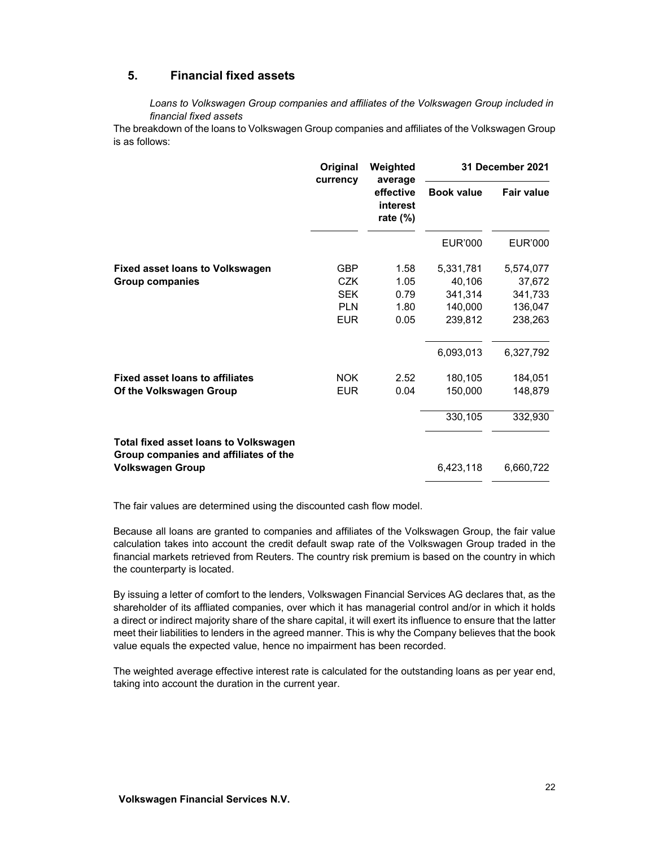## **5. Financial fixed assets**

*Loans to Volkswagen Group companies and affiliates of the Volkswagen Group included in financial fixed assets* 

The breakdown of the loans to Volkswagen Group companies and affiliates of the Volkswagen Group is as follows:

|                                                                                       | Original<br>currency | Weighted<br>average                  | 31 December 2021  |                   |
|---------------------------------------------------------------------------------------|----------------------|--------------------------------------|-------------------|-------------------|
|                                                                                       |                      | effective<br>interest<br>rate $(\%)$ | <b>Book value</b> | <b>Fair value</b> |
|                                                                                       |                      |                                      | <b>EUR'000</b>    | <b>EUR'000</b>    |
| <b>Fixed asset loans to Volkswagen</b>                                                | <b>GBP</b>           | 1.58                                 | 5,331,781         | 5,574,077         |
| <b>Group companies</b>                                                                | CZK                  | 1.05                                 | 40,106            | 37,672            |
|                                                                                       | <b>SEK</b>           | 0.79                                 | 341,314           | 341,733           |
|                                                                                       | <b>PLN</b>           | 1.80                                 | 140,000           | 136,047           |
|                                                                                       | <b>EUR</b>           | 0.05                                 | 239,812           | 238,263           |
|                                                                                       |                      |                                      | 6,093,013         | 6,327,792         |
| <b>Fixed asset loans to affiliates</b>                                                | <b>NOK</b>           | 2.52                                 | 180,105           | 184,051           |
| Of the Volkswagen Group                                                               | <b>EUR</b>           | 0.04                                 | 150,000           | 148,879           |
|                                                                                       |                      |                                      | 330,105           | 332,930           |
| <b>Total fixed asset loans to Volkswagen</b><br>Group companies and affiliates of the |                      |                                      |                   |                   |
| <b>Volkswagen Group</b>                                                               |                      |                                      | 6,423,118         | 6,660,722         |

The fair values are determined using the discounted cash flow model.

Because all loans are granted to companies and affiliates of the Volkswagen Group, the fair value calculation takes into account the credit default swap rate of the Volkswagen Group traded in the financial markets retrieved from Reuters. The country risk premium is based on the country in which the counterparty is located.

By issuing a letter of comfort to the lenders, Volkswagen Financial Services AG declares that, as the shareholder of its affliated companies, over which it has managerial control and/or in which it holds a direct or indirect majority share of the share capital, it will exert its influence to ensure that the latter meet their liabilities to lenders in the agreed manner. This is why the Company believes that the book value equals the expected value, hence no impairment has been recorded.

The weighted average effective interest rate is calculated for the outstanding loans as per year end, taking into account the duration in the current year.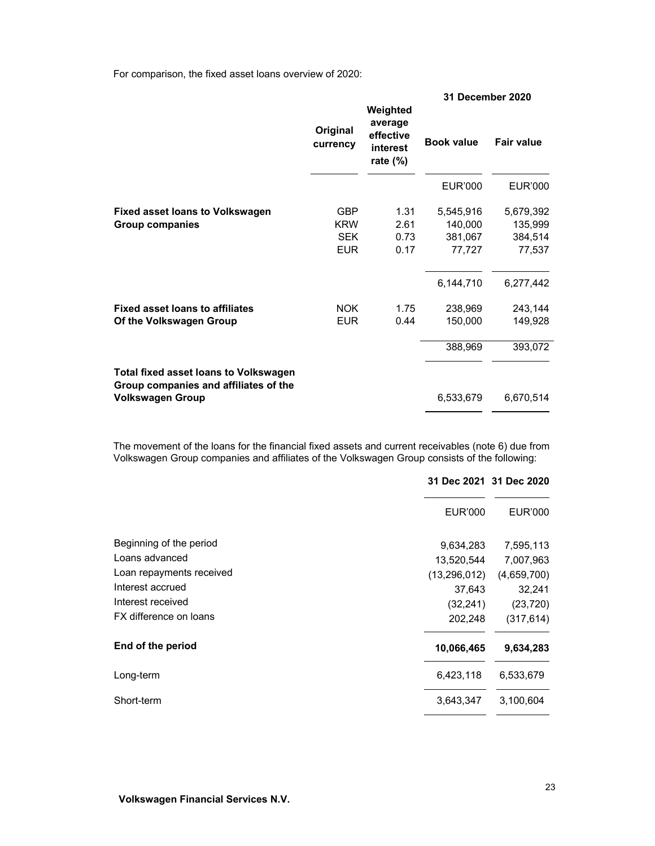For comparison, the fixed asset loans overview of 2020:

|                                                                                                                  |                                                      |                                                             | 31 December 2020                          |                                           |
|------------------------------------------------------------------------------------------------------------------|------------------------------------------------------|-------------------------------------------------------------|-------------------------------------------|-------------------------------------------|
|                                                                                                                  | Original<br>currency                                 | Weighted<br>average<br>effective<br>interest<br>rate $(\%)$ | <b>Book value</b>                         | Fair value                                |
|                                                                                                                  |                                                      |                                                             | <b>EUR'000</b>                            | <b>EUR'000</b>                            |
| <b>Fixed asset loans to Volkswagen</b><br><b>Group companies</b>                                                 | <b>GBP</b><br><b>KRW</b><br><b>SEK</b><br><b>EUR</b> | 1.31<br>2.61<br>0.73<br>0.17                                | 5,545,916<br>140,000<br>381,067<br>77,727 | 5,679,392<br>135,999<br>384,514<br>77,537 |
|                                                                                                                  |                                                      |                                                             | 6,144,710                                 | 6,277,442                                 |
| <b>Fixed asset loans to affiliates</b><br>Of the Volkswagen Group                                                | <b>NOK</b><br><b>EUR</b>                             | 1.75<br>0.44                                                | 238,969<br>150,000                        | 243,144<br>149,928                        |
|                                                                                                                  |                                                      |                                                             | 388,969                                   | 393,072                                   |
| <b>Total fixed asset loans to Volkswagen</b><br>Group companies and affiliates of the<br><b>Volkswagen Group</b> |                                                      |                                                             | 6,533,679                                 | 6,670,514                                 |
|                                                                                                                  |                                                      |                                                             |                                           |                                           |

The movement of the loans for the financial fixed assets and current receivables (note 6) due from Volkswagen Group companies and affiliates of the Volkswagen Group consists of the following:

|                          | 31 Dec 2021 31 Dec 2020 |             |
|--------------------------|-------------------------|-------------|
|                          | EUR'000                 | EUR'000     |
| Beginning of the period  | 9,634,283               | 7,595,113   |
| Loans advanced           | 13,520,544              | 7,007,963   |
| Loan repayments received | (13, 296, 012)          | (4,659,700) |
| Interest accrued         | 37,643                  | 32,241      |
| Interest received        | (32, 241)               | (23, 720)   |
| FX difference on loans   | 202,248                 | (317, 614)  |
| End of the period        | 10,066,465              | 9,634,283   |
| Long-term                | 6,423,118               | 6,533,679   |
| Short-term               | 3,643,347               | 3,100,604   |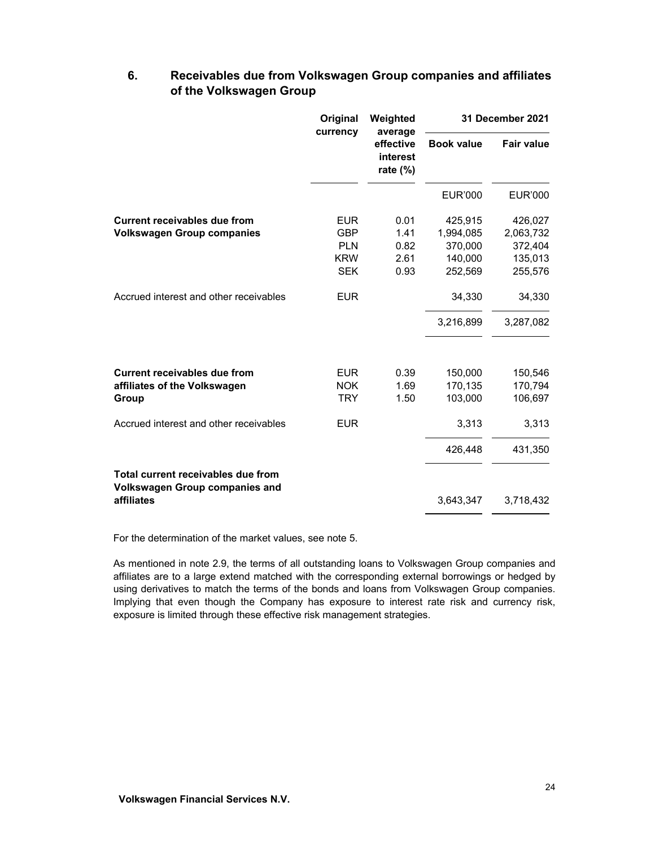# **6. Receivables due from Volkswagen Group companies and affiliates of the Volkswagen Group**

|                                                                             | Original<br>currency |                                      |                    | Weighted<br>average |  | 31 December 2021 |
|-----------------------------------------------------------------------------|----------------------|--------------------------------------|--------------------|---------------------|--|------------------|
|                                                                             |                      | effective<br>interest<br>rate $(\%)$ | <b>Book value</b>  | <b>Fair value</b>   |  |                  |
|                                                                             |                      |                                      | <b>EUR'000</b>     | <b>EUR'000</b>      |  |                  |
| Current receivables due from                                                | <b>EUR</b>           | 0.01                                 | 425,915            | 426,027             |  |                  |
| <b>Volkswagen Group companies</b>                                           | <b>GBP</b>           | 1.41                                 | 1,994,085          | 2,063,732           |  |                  |
|                                                                             | <b>PLN</b>           | 0.82                                 | 370,000            | 372,404             |  |                  |
|                                                                             | <b>KRW</b>           | 2.61                                 | 140,000            | 135,013             |  |                  |
|                                                                             | <b>SEK</b>           | 0.93                                 | 252,569            | 255,576             |  |                  |
| Accrued interest and other receivables                                      | <b>EUR</b>           |                                      | 34,330             | 34,330              |  |                  |
|                                                                             |                      |                                      | 3,216,899          | 3,287,082           |  |                  |
| <b>Current receivables due from</b>                                         | <b>EUR</b>           | 0.39                                 |                    |                     |  |                  |
| affiliates of the Volkswagen                                                | <b>NOK</b>           | 1.69                                 | 150,000<br>170,135 | 150,546<br>170,794  |  |                  |
| Group                                                                       | <b>TRY</b>           | 1.50                                 | 103,000            | 106,697             |  |                  |
| Accrued interest and other receivables                                      | <b>EUR</b>           |                                      | 3,313              | 3,313               |  |                  |
|                                                                             |                      |                                      | 426,448            | 431,350             |  |                  |
| Total current receivables due from<br><b>Volkswagen Group companies and</b> |                      |                                      |                    |                     |  |                  |
| affiliates                                                                  |                      |                                      | 3,643,347          | 3,718,432           |  |                  |

For the determination of the market values, see note 5.

As mentioned in note 2.9, the terms of all outstanding loans to Volkswagen Group companies and affiliates are to a large extend matched with the corresponding external borrowings or hedged by using derivatives to match the terms of the bonds and loans from Volkswagen Group companies. Implying that even though the Company has exposure to interest rate risk and currency risk, exposure is limited through these effective risk management strategies.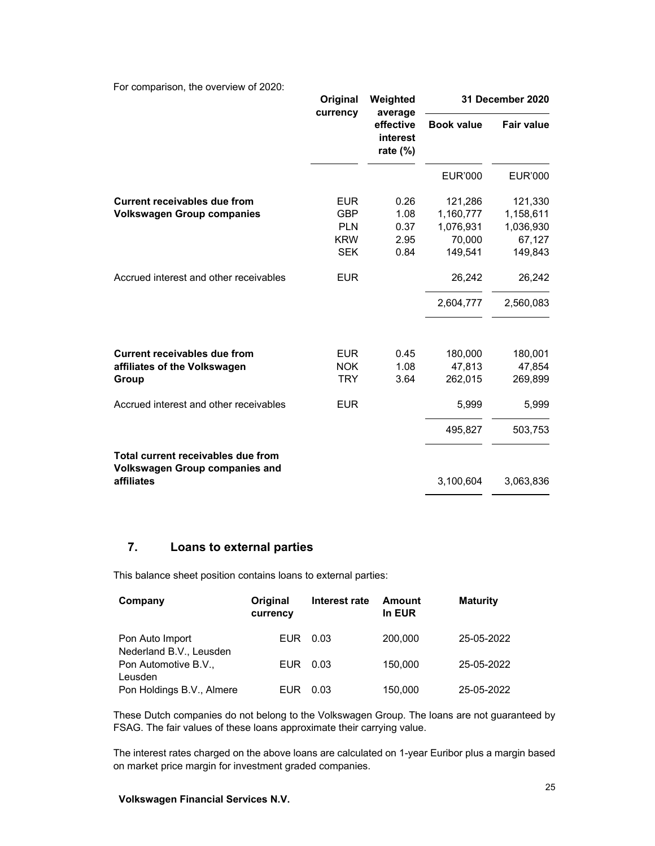For comparison, the overview of 2020:

|                                                                                           | Original<br>currency                                               | Weighted<br>average                  |                                                        | 31 December 2020                                       |
|-------------------------------------------------------------------------------------------|--------------------------------------------------------------------|--------------------------------------|--------------------------------------------------------|--------------------------------------------------------|
|                                                                                           |                                                                    |                                      | effective<br>interest<br>rate (%)                      | <b>Book value</b>                                      |
|                                                                                           |                                                                    |                                      | <b>EUR'000</b>                                         | <b>EUR'000</b>                                         |
| <b>Current receivables due from</b><br><b>Volkswagen Group companies</b>                  | <b>EUR</b><br><b>GBP</b><br><b>PLN</b><br><b>KRW</b><br><b>SEK</b> | 0.26<br>1.08<br>0.37<br>2.95<br>0.84 | 121,286<br>1,160,777<br>1,076,931<br>70,000<br>149,541 | 121,330<br>1,158,611<br>1,036,930<br>67,127<br>149,843 |
| Accrued interest and other receivables                                                    | <b>EUR</b>                                                         |                                      | 26,242                                                 | 26,242                                                 |
|                                                                                           |                                                                    |                                      | 2,604,777                                              | 2,560,083                                              |
| <b>Current receivables due from</b><br>affiliates of the Volkswagen<br>Group              | <b>EUR</b><br><b>NOK</b><br><b>TRY</b>                             | 0.45<br>1.08<br>3.64                 | 180,000<br>47,813<br>262,015                           | 180,001<br>47,854<br>269,899                           |
| Accrued interest and other receivables                                                    | <b>EUR</b>                                                         |                                      | 5,999                                                  | 5,999                                                  |
|                                                                                           |                                                                    |                                      | 495,827                                                | 503,753                                                |
| Total current receivables due from<br><b>Volkswagen Group companies and</b><br>affiliates |                                                                    |                                      | 3,100,604                                              | 3,063,836                                              |

# **7. Loans to external parties**

This balance sheet position contains loans to external parties:

| Company                                    | Original<br>currency | Interest rate | <b>Amount</b><br>In EUR | <b>Maturity</b> |
|--------------------------------------------|----------------------|---------------|-------------------------|-----------------|
| Pon Auto Import<br>Nederland B.V., Leusden | EUR.                 | 0.03          | 200,000                 | 25-05-2022      |
| Pon Automotive B.V.,<br>Leusden            | EUR.                 | 0.03          | 150,000                 | 25-05-2022      |
| Pon Holdings B.V., Almere                  | EUR                  | 0.03          | 150,000                 | 25-05-2022      |

These Dutch companies do not belong to the Volkswagen Group. The loans are not guaranteed by FSAG. The fair values of these loans approximate their carrying value.

The interest rates charged on the above loans are calculated on 1-year Euribor plus a margin based on market price margin for investment graded companies.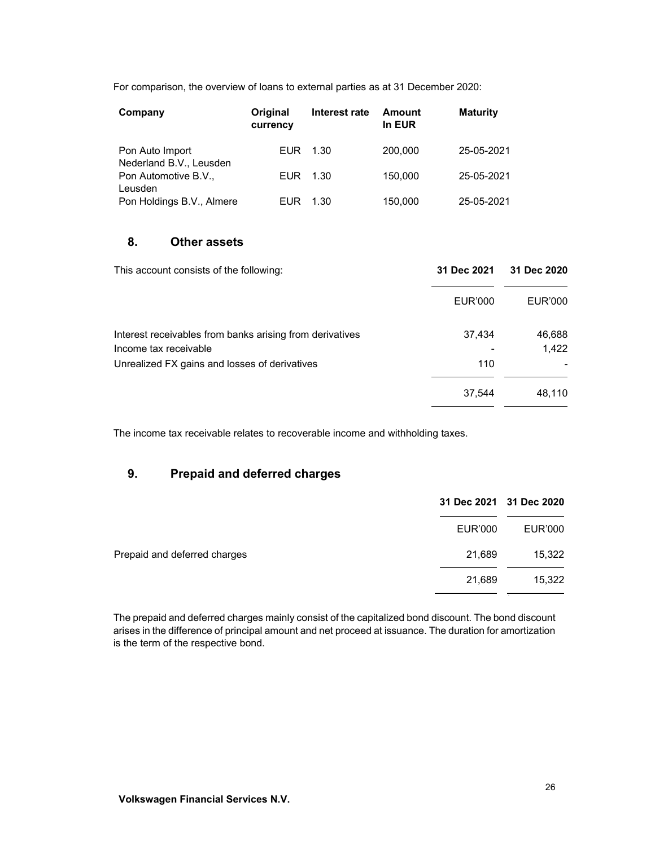For comparison, the overview of loans to external parties as at 31 December 2020:

| Company                                    | Original<br>currency | Interest rate | Amount<br>In EUR | <b>Maturity</b> |
|--------------------------------------------|----------------------|---------------|------------------|-----------------|
| Pon Auto Import<br>Nederland B.V., Leusden | EUR.                 | 1.30          | 200,000          | 25-05-2021      |
| Pon Automotive B.V.,<br>Leusden            | EUR.                 | 1.30          | 150,000          | 25-05-2021      |
| Pon Holdings B.V., Almere                  | EUR                  | 1.30          | 150,000          | 25-05-2021      |

## **8. Other assets**

| This account consists of the following:                                           | 31 Dec 2021 | 31 Dec 2020     |
|-----------------------------------------------------------------------------------|-------------|-----------------|
|                                                                                   | EUR'000     | EUR'000         |
| Interest receivables from banks arising from derivatives<br>Income tax receivable | 37,434      | 46,688<br>1.422 |
| Unrealized FX gains and losses of derivatives                                     | 110         |                 |
|                                                                                   | 37,544      | 48,110          |

The income tax receivable relates to recoverable income and withholding taxes.

# **9. Prepaid and deferred charges**

|                              |                | 31 Dec 2021 31 Dec 2020 |
|------------------------------|----------------|-------------------------|
|                              | <b>EUR'000</b> | EUR'000                 |
| Prepaid and deferred charges | 21,689         | 15,322                  |
|                              | 21,689         | 15,322                  |

The prepaid and deferred charges mainly consist of the capitalized bond discount. The bond discount arises in the difference of principal amount and net proceed at issuance. The duration for amortization is the term of the respective bond.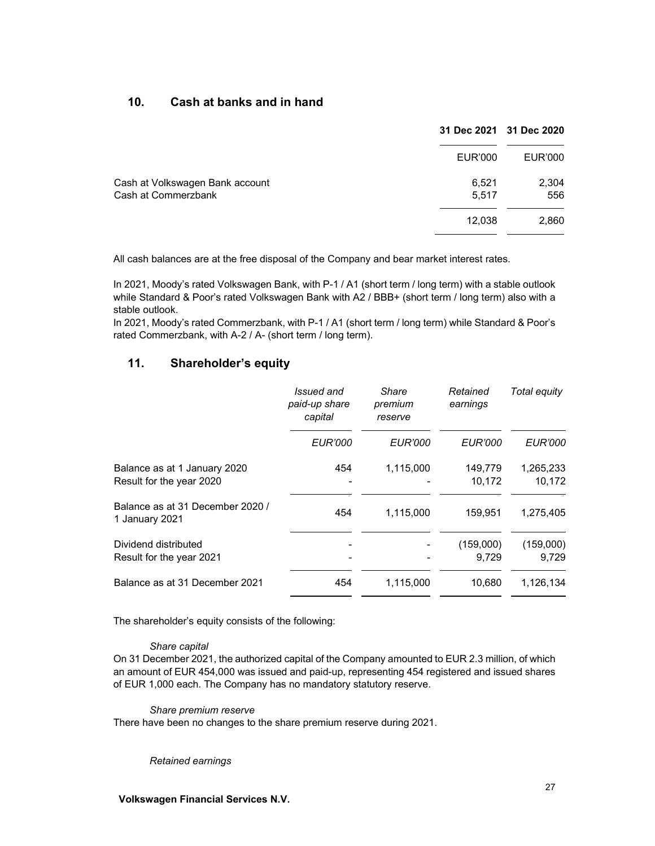## **10. Cash at banks and in hand**

|                                                        |                | 31 Dec 2021 31 Dec 2020 |
|--------------------------------------------------------|----------------|-------------------------|
|                                                        | EUR'000        | EUR'000                 |
| Cash at Volkswagen Bank account<br>Cash at Commerzbank | 6,521<br>5,517 | 2,304<br>556            |
|                                                        | 12,038         | 2,860                   |

All cash balances are at the free disposal of the Company and bear market interest rates.

In 2021, Moody's rated Volkswagen Bank, with P-1 / A1 (short term / long term) with a stable outlook while Standard & Poor's rated Volkswagen Bank with A2 / BBB+ (short term / long term) also with a stable outlook.

In 2021, Moody's rated Commerzbank, with P-1 / A1 (short term / long term) while Standard & Poor's rated Commerzbank, with A-2 / A- (short term / long term).

## **11. Shareholder's equity**

|                                                          | Issued and<br>paid-up share<br>capital | Share<br>premium<br>reserve | Retained<br>earnings | Total equity        |
|----------------------------------------------------------|----------------------------------------|-----------------------------|----------------------|---------------------|
|                                                          | <b>EUR'000</b>                         | <b>EUR'000</b>              | <b>EUR'000</b>       | <b>EUR'000</b>      |
| Balance as at 1 January 2020<br>Result for the year 2020 | 454                                    | 1,115,000                   | 149,779<br>10,172    | 1,265,233<br>10,172 |
| Balance as at 31 December 2020 /<br>1 January 2021       | 454                                    | 1,115,000                   | 159,951              | 1,275,405           |
| Dividend distributed<br>Result for the year 2021         |                                        |                             | (159,000)<br>9,729   | (159,000)<br>9,729  |
| Balance as at 31 December 2021                           | 454                                    | 1,115,000                   | 10,680               | 1,126,134           |

The shareholder's equity consists of the following:

### *Share capital*

On 31 December 2021, the authorized capital of the Company amounted to EUR 2.3 million, of which an amount of EUR 454,000 was issued and paid-up, representing 454 registered and issued shares of EUR 1,000 each. The Company has no mandatory statutory reserve.

*Share premium reserve*  There have been no changes to the share premium reserve during 2021.

#### *Retained earnings*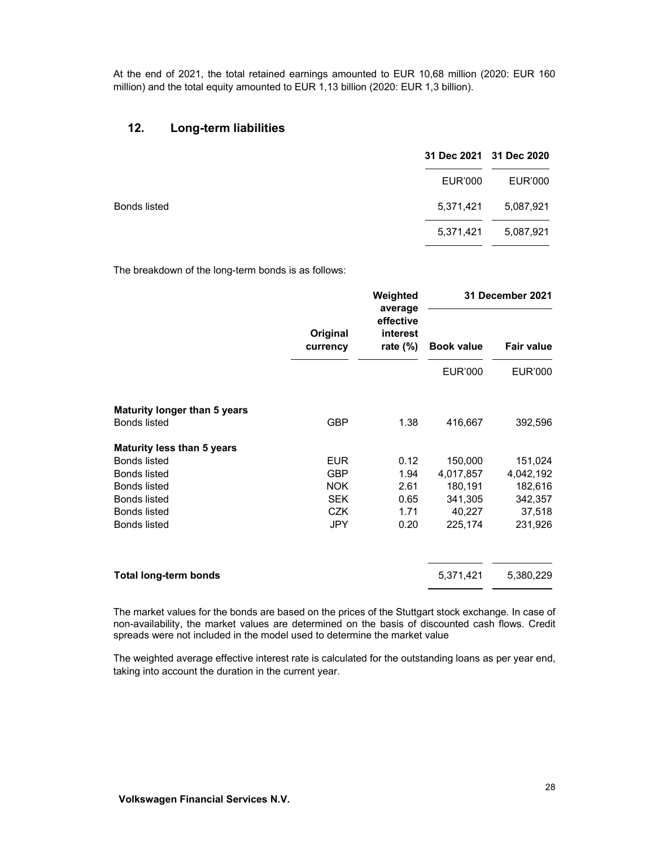At the end of 2021, the total retained earnings amounted to EUR 10,68 million (2020: EUR 160 million) and the total equity amounted to EUR 1,13 billion (2020: EUR 1,3 billion).

#### **12. Long-term liabilities**

|              |           | 31 Dec 2021 31 Dec 2020 |
|--------------|-----------|-------------------------|
|              | EUR'000   | EUR'000                 |
| Bonds listed | 5,371,421 | 5,087,921               |
|              | 5,371,421 | 5,087,921               |

The breakdown of the long-term bonds is as follows:

|                                     | Original<br>currency | Weighted<br>average<br>effective<br>interest<br>rate $(\%)$ | 31 December 2021 |                   |
|-------------------------------------|----------------------|-------------------------------------------------------------|------------------|-------------------|
|                                     |                      |                                                             |                  | <b>Book value</b> |
|                                     |                      |                                                             | <b>EUR'000</b>   | <b>EUR'000</b>    |
| <b>Maturity longer than 5 years</b> |                      |                                                             |                  |                   |
| <b>Bonds listed</b>                 | <b>GBP</b>           | 1.38                                                        | 416,667          | 392,596           |
| <b>Maturity less than 5 years</b>   |                      |                                                             |                  |                   |
| <b>Bonds listed</b>                 | <b>EUR</b>           | 0.12                                                        | 150,000          | 151,024           |
| <b>Bonds listed</b>                 | <b>GBP</b>           | 1.94                                                        | 4,017,857        | 4,042,192         |
| <b>Bonds listed</b>                 | <b>NOK</b>           | 2.61                                                        | 180,191          | 182,616           |
| <b>Bonds listed</b>                 | <b>SEK</b>           | 0.65                                                        | 341,305          | 342,357           |
| <b>Bonds listed</b>                 | <b>CZK</b>           | 1.71                                                        | 40,227           | 37,518            |
| <b>Bonds listed</b>                 | <b>JPY</b>           | 0.20                                                        | 225,174          | 231,926           |
| <b>Total long-term bonds</b>        |                      |                                                             | 5,371,421        | 5,380,229         |

The market values for the bonds are based on the prices of the Stuttgart stock exchange. In case of non-availability, the market values are determined on the basis of discounted cash flows. Credit spreads were not included in the model used to determine the market value

The weighted average effective interest rate is calculated for the outstanding loans as per year end, taking into account the duration in the current year.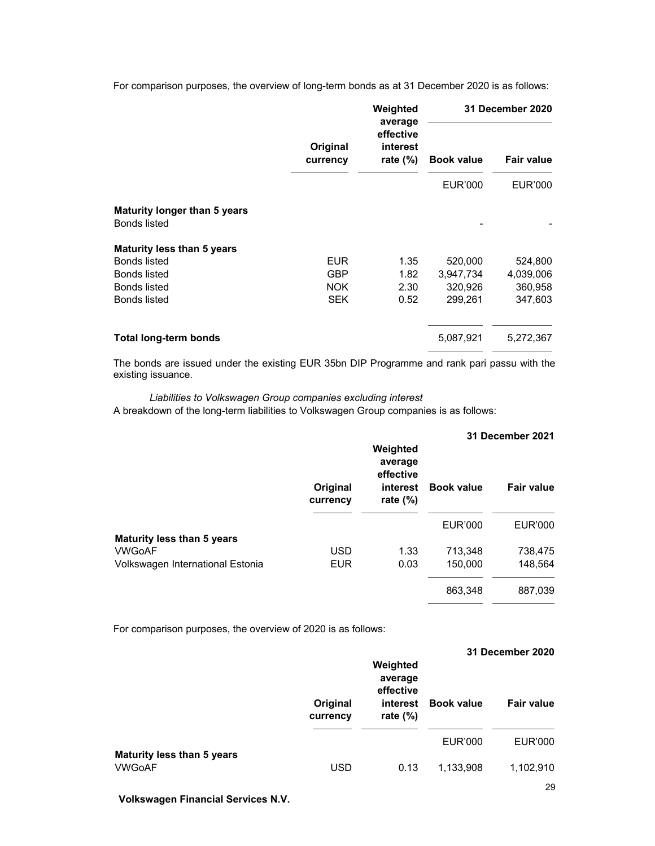For comparison purposes, the overview of long-term bonds as at 31 December 2020 is as follows:

|                                                            | Original<br>currency | Weighted<br>average<br>effective<br>interest<br>rate $(\%)$ | 31 December 2020 |                   |
|------------------------------------------------------------|----------------------|-------------------------------------------------------------|------------------|-------------------|
|                                                            |                      |                                                             |                  | <b>Book value</b> |
|                                                            |                      |                                                             | <b>EUR'000</b>   | EUR'000           |
| <b>Maturity longer than 5 years</b><br><b>Bonds listed</b> |                      |                                                             |                  |                   |
| <b>Maturity less than 5 years</b>                          |                      |                                                             |                  |                   |
| <b>Bonds listed</b>                                        | <b>EUR</b>           | 1.35                                                        | 520,000          | 524,800           |
| <b>Bonds listed</b>                                        | <b>GBP</b>           | 1.82                                                        | 3,947,734        | 4,039,006         |
| <b>Bonds listed</b>                                        | <b>NOK</b>           | 2.30                                                        | 320,926          | 360,958           |
| <b>Bonds listed</b>                                        | <b>SEK</b>           | 0.52                                                        | 299,261          | 347,603           |
| <b>Total long-term bonds</b>                               |                      |                                                             | 5,087,921        | 5,272,367         |

The bonds are issued under the existing EUR 35bn DIP Programme and rank pari passu with the existing issuance.

#### *Liabilities to Volkswagen Group companies excluding interest*

A breakdown of the long-term liabilities to Volkswagen Group companies is as follows:

|                                   |                      | 31 December 2021                                            |                   |            |
|-----------------------------------|----------------------|-------------------------------------------------------------|-------------------|------------|
|                                   | Original<br>currency | Weighted<br>average<br>effective<br>interest<br>rate $(\%)$ | <b>Book value</b> | Fair value |
|                                   |                      |                                                             | <b>EUR'000</b>    | EUR'000    |
| <b>Maturity less than 5 years</b> |                      |                                                             |                   |            |
| <b>VWGoAF</b>                     | <b>USD</b>           | 1.33                                                        | 713,348           | 738,475    |
| Volkswagen International Estonia  | <b>EUR</b>           | 0.03                                                        | 150,000           | 148,564    |
|                                   |                      |                                                             | 863,348           | 887,039    |

For comparison purposes, the overview of 2020 is as follows:

|                                                    | Original   | Weighted<br>average<br>effective<br>interest | <b>Book value</b> | 31 December 2020<br><b>Fair value</b> |
|----------------------------------------------------|------------|----------------------------------------------|-------------------|---------------------------------------|
|                                                    | currency   | rate $(\%)$                                  | EUR'000           | EUR'000                               |
| <b>Maturity less than 5 years</b><br><b>VWGoAF</b> | <b>USD</b> | 0.13                                         | 1,133,908         | 1,102,910                             |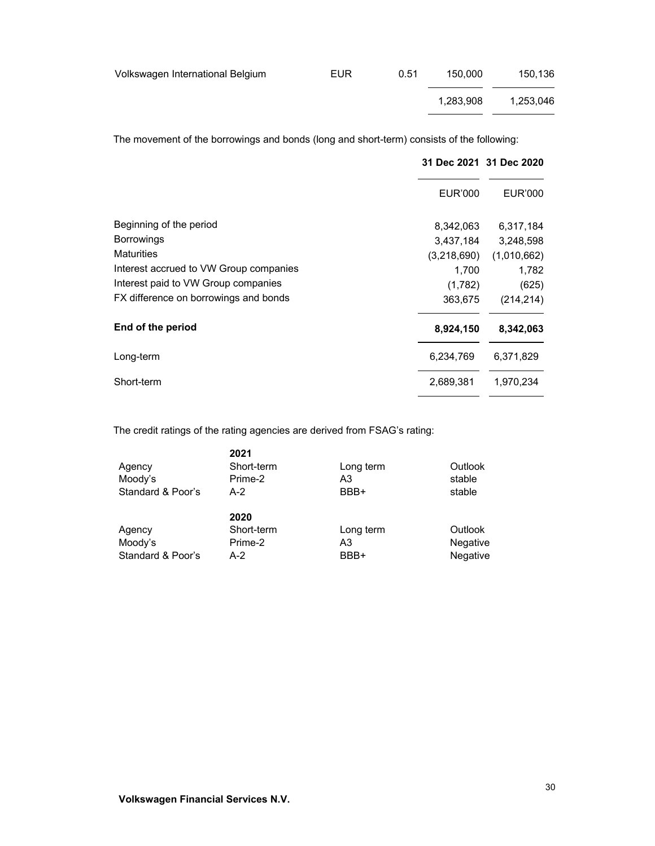| Volkswagen International Belgium | <b>EUR</b> | 0.51 | 150.000   | 150.136   |
|----------------------------------|------------|------|-----------|-----------|
|                                  |            |      | 1.283.908 | 1.253.046 |

The movement of the borrowings and bonds (long and short-term) consists of the following:

|                                        |                | 31 Dec 2021 31 Dec 2020 |
|----------------------------------------|----------------|-------------------------|
|                                        | <b>EUR'000</b> | EUR'000                 |
| Beginning of the period                | 8,342,063      | 6,317,184               |
| <b>Borrowings</b>                      | 3,437,184      | 3,248,598               |
| <b>Maturities</b>                      | (3,218,690)    | (1,010,662)             |
| Interest accrued to VW Group companies | 1,700          | 1,782                   |
| Interest paid to VW Group companies    | (1,782)        | (625)                   |
| FX difference on borrowings and bonds  | 363,675        | (214, 214)              |
| End of the period                      | 8,924,150      | 8,342,063               |
| Long-term                              | 6,234,769      | 6,371,829               |
| Short-term                             | 2,689,381      | 1,970,234               |

The credit ratings of the rating agencies are derived from FSAG's rating:

|                   | 2021       |           |                 |
|-------------------|------------|-----------|-----------------|
| Agency            | Short-term | Long term | Outlook         |
| Moody's           | Prime-2    | A3        | stable          |
| Standard & Poor's | $A-2$      | BBB+      | stable          |
|                   |            |           |                 |
|                   | 2020       |           |                 |
| Agency            | Short-term | Long term | Outlook         |
| Moody's           | Prime-2    | A3        | <b>Negative</b> |
| Standard & Poor's | $A-2$      | BBB+      | Negative        |
|                   |            |           |                 |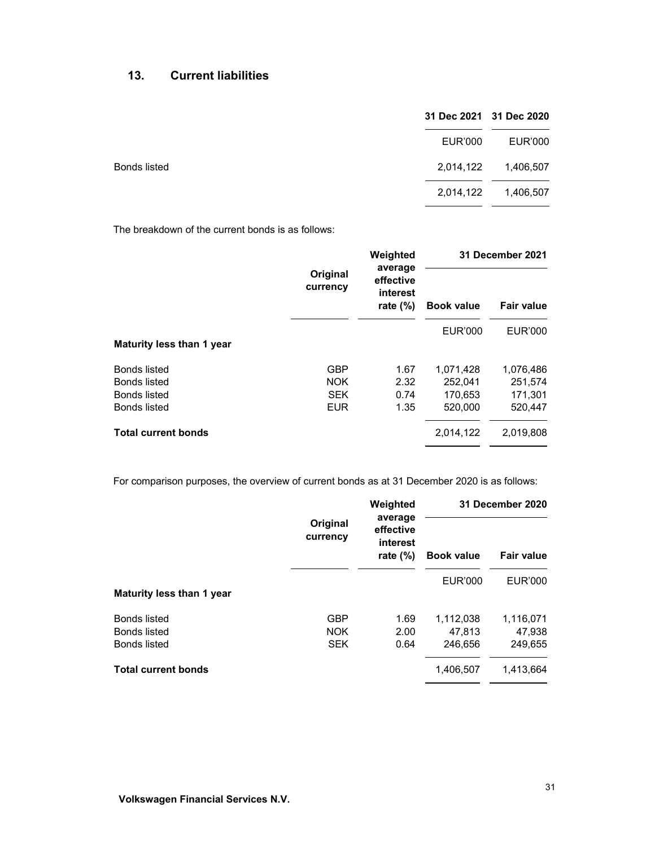# **13. Current liabilities**

|                     |           | 31 Dec 2021 31 Dec 2020 |
|---------------------|-----------|-------------------------|
|                     | EUR'000   | EUR'000                 |
| <b>Bonds listed</b> | 2,014,122 | 1,406,507               |
|                     | 2,014,122 | 1,406,507               |
|                     |           |                         |

The breakdown of the current bonds is as follows:

|                            | Original<br>currency | Weighted                                        |                   | <b>31 December 2021</b> |  |
|----------------------------|----------------------|-------------------------------------------------|-------------------|-------------------------|--|
|                            |                      | average<br>effective<br>interest<br>rate $(\%)$ | <b>Book value</b> | Fair value              |  |
|                            |                      |                                                 | <b>EUR'000</b>    | <b>EUR'000</b>          |  |
| Maturity less than 1 year  |                      |                                                 |                   |                         |  |
| <b>Bonds listed</b>        | <b>GBP</b>           | 1.67                                            | 1,071,428         | 1,076,486               |  |
| Bonds listed               | <b>NOK</b>           | 2.32                                            | 252.041           | 251,574                 |  |
| Bonds listed               | <b>SEK</b>           | 0.74                                            | 170,653           | 171,301                 |  |
| Bonds listed               | <b>EUR</b>           | 1.35                                            | 520,000           | 520,447                 |  |
| <b>Total current bonds</b> |                      |                                                 | 2,014,122         | 2,019,808               |  |

For comparison purposes, the overview of current bonds as at 31 December 2020 is as follows:

|                            | Original<br>currency | Weighted                                        | 31 December 2020  |                |
|----------------------------|----------------------|-------------------------------------------------|-------------------|----------------|
|                            |                      | average<br>effective<br>interest<br>rate $(\%)$ | <b>Book value</b> | Fair value     |
| Maturity less than 1 year  |                      |                                                 | <b>EUR'000</b>    | <b>EUR'000</b> |
| <b>Bonds listed</b>        | <b>GBP</b>           | 1.69                                            | 1,112,038         | 1,116,071      |
| <b>Bonds listed</b>        | <b>NOK</b>           | 2.00                                            | 47.813            | 47,938         |
| <b>Bonds listed</b>        | <b>SEK</b>           | 0.64                                            | 246,656           | 249,655        |
| <b>Total current bonds</b> |                      |                                                 | 1,406,507         | 1,413,664      |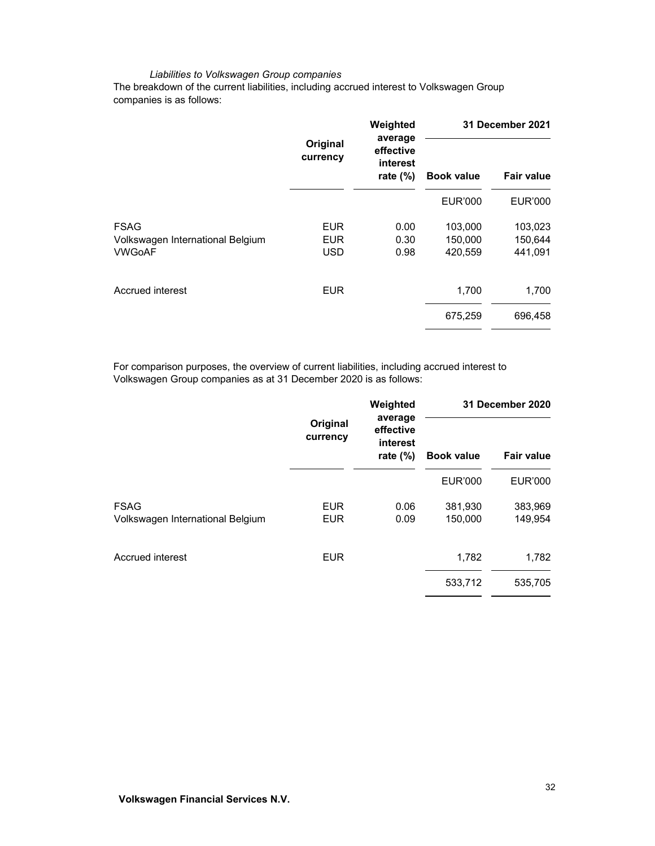#### *Liabilities to Volkswagen Group companies*

The breakdown of the current liabilities, including accrued interest to Volkswagen Group companies is as follows:

|                      | Weighted                             | 31 December 2021  |                   |
|----------------------|--------------------------------------|-------------------|-------------------|
| Original<br>currency | effective<br>interest<br>rate $(\%)$ | <b>Book value</b> | <b>Fair value</b> |
|                      |                                      | <b>EUR'000</b>    | <b>EUR'000</b>    |
| <b>EUR</b>           | 0.00                                 | 103,000           | 103,023           |
| <b>EUR</b>           | 0.30                                 | 150,000           | 150,644           |
| <b>USD</b>           | 0.98                                 | 420,559           | 441,091           |
| <b>EUR</b>           |                                      | 1,700             | 1,700             |
|                      |                                      | 675,259           | 696,458           |
|                      |                                      | average           |                   |

For comparison purposes, the overview of current liabilities, including accrued interest to Volkswagen Group companies as at 31 December 2020 is as follows:

|                                                 | Original<br>currency     | Weighted                                        |                    | 31 December 2020   |  |
|-------------------------------------------------|--------------------------|-------------------------------------------------|--------------------|--------------------|--|
|                                                 |                          | average<br>effective<br>interest<br>rate $(\%)$ | <b>Book value</b>  | Fair value         |  |
|                                                 |                          |                                                 | <b>EUR'000</b>     | <b>EUR'000</b>     |  |
| <b>FSAG</b><br>Volkswagen International Belgium | <b>EUR</b><br><b>EUR</b> | 0.06<br>0.09                                    | 381,930<br>150,000 | 383,969<br>149,954 |  |
| Accrued interest                                | <b>EUR</b>               |                                                 | 1,782              | 1,782              |  |
|                                                 |                          |                                                 | 533,712            | 535,705            |  |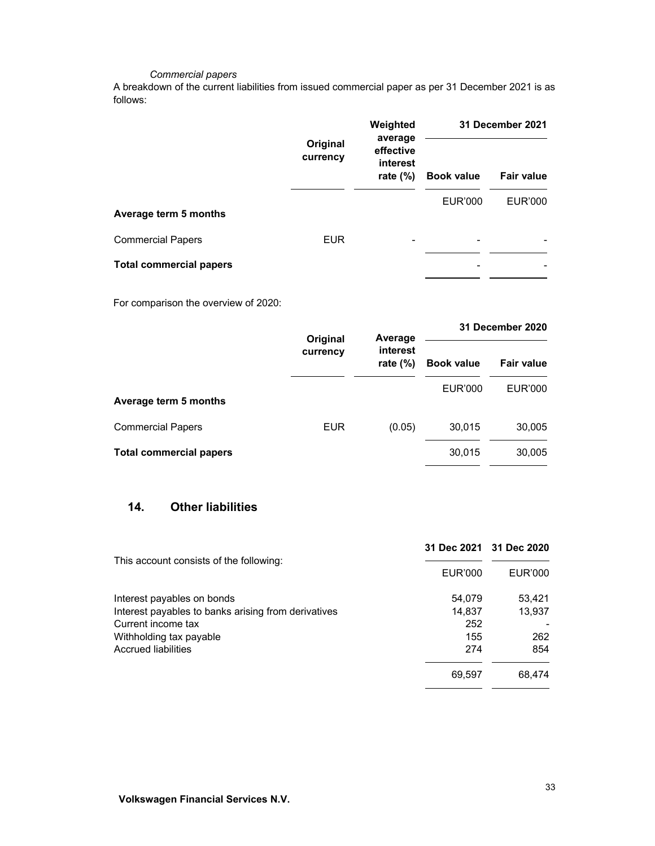### *Commercial papers*

A breakdown of the current liabilities from issued commercial paper as per 31 December 2021 is as follows:

|                                |                      | Weighted                                        |                   | 31 December 2021  |  |
|--------------------------------|----------------------|-------------------------------------------------|-------------------|-------------------|--|
|                                | Original<br>currency | average<br>effective<br>interest<br>rate $(\%)$ | <b>Book value</b> | <b>Fair value</b> |  |
| Average term 5 months          |                      |                                                 | <b>EUR'000</b>    | <b>EUR'000</b>    |  |
| <b>Commercial Papers</b>       | <b>EUR</b>           | -                                               | -                 |                   |  |
| <b>Total commercial papers</b> |                      |                                                 |                   |                   |  |

For comparison the overview of 2020:

|                                | Original<br>currency | Average                 | 31 December 2020  |                   |
|--------------------------------|----------------------|-------------------------|-------------------|-------------------|
|                                |                      | interest<br>rate $(\%)$ | <b>Book value</b> | <b>Fair value</b> |
| Average term 5 months          |                      |                         | <b>EUR'000</b>    | EUR'000           |
| <b>Commercial Papers</b>       | <b>EUR</b>           | (0.05)                  | 30,015            | 30,005            |
| <b>Total commercial papers</b> |                      |                         | 30,015            | 30,005            |

# **14. Other liabilities**

|                                                     |         | 31 Dec 2021 31 Dec 2020 |
|-----------------------------------------------------|---------|-------------------------|
| This account consists of the following:             | EUR'000 | EUR'000                 |
| Interest payables on bonds                          | 54,079  | 53,421                  |
| Interest payables to banks arising from derivatives | 14,837  | 13,937                  |
| Current income tax                                  | 252     |                         |
| Withholding tax payable                             | 155     | 262                     |
| <b>Accrued liabilities</b>                          | 274     | 854                     |
|                                                     | 69,597  | 68,474                  |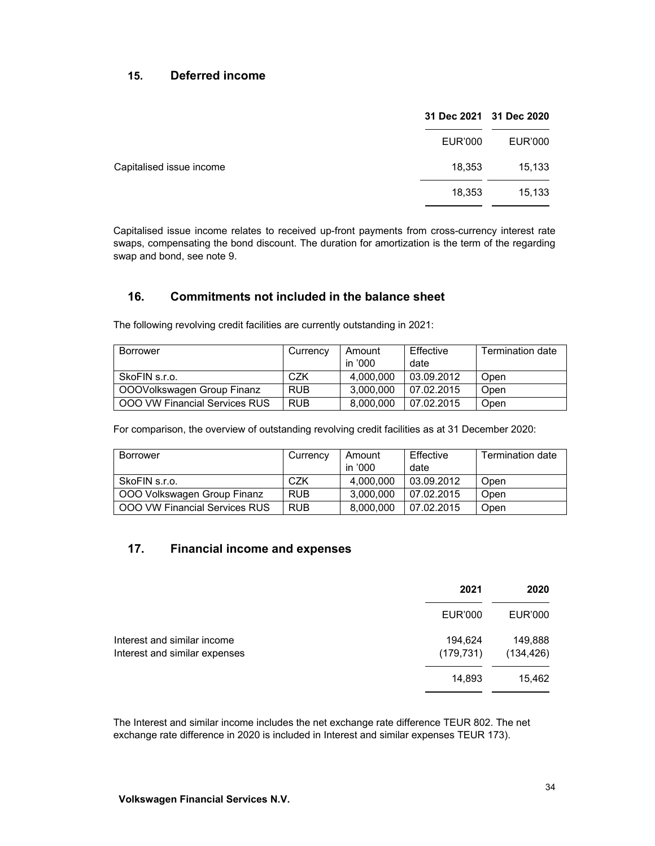## **15. Deferred income**

|                          |         | 31 Dec 2021 31 Dec 2020 |
|--------------------------|---------|-------------------------|
|                          | EUR'000 | EUR'000                 |
| Capitalised issue income | 18,353  | 15,133                  |
|                          | 18,353  | 15,133                  |

Capitalised issue income relates to received up-front payments from cross-currency interest rate swaps, compensating the bond discount. The duration for amortization is the term of the regarding swap and bond, see note 9.

# **16. Commitments not included in the balance sheet**

The following revolving credit facilities are currently outstanding in 2021:

| <b>Borrower</b>               | Currency   | Amount    | Effective  | <b>Termination date</b> |
|-------------------------------|------------|-----------|------------|-------------------------|
|                               |            | in '000   | date       |                         |
| SkoFIN s.r.o.                 | CZK        | 4.000.000 | 03.09.2012 | Open                    |
| OOOVolkswagen Group Finanz    | <b>RUB</b> | 3.000.000 | 07.02.2015 | Open                    |
| OOO VW Financial Services RUS | <b>RUB</b> | 8.000.000 | 07.02.2015 | Open                    |

For comparison, the overview of outstanding revolving credit facilities as at 31 December 2020:

| Borrower                             | Currency   | Amount    | Effective  | Termination date |
|--------------------------------------|------------|-----------|------------|------------------|
|                                      |            | in '000   | date       |                  |
| SkoFIN s.r.o.                        | CZK        | 4.000.000 | 03.09.2012 | Open             |
| OOO Volkswagen Group Finanz          | <b>RUB</b> | 3.000.000 | 07.02.2015 | Open             |
| <b>OOO VW Financial Services RUS</b> | <b>RUB</b> | 8.000.000 | 07.02.2015 | Open             |

## **17. Financial income and expenses**

|                                                              | 2021                  | 2020                  |
|--------------------------------------------------------------|-----------------------|-----------------------|
|                                                              | <b>EUR'000</b>        | EUR'000               |
| Interest and similar income<br>Interest and similar expenses | 194,624<br>(179, 731) | 149,888<br>(134, 426) |
|                                                              | 14,893                | 15,462                |
|                                                              |                       |                       |

The Interest and similar income includes the net exchange rate difference TEUR 802. The net exchange rate difference in 2020 is included in Interest and similar expenses TEUR 173).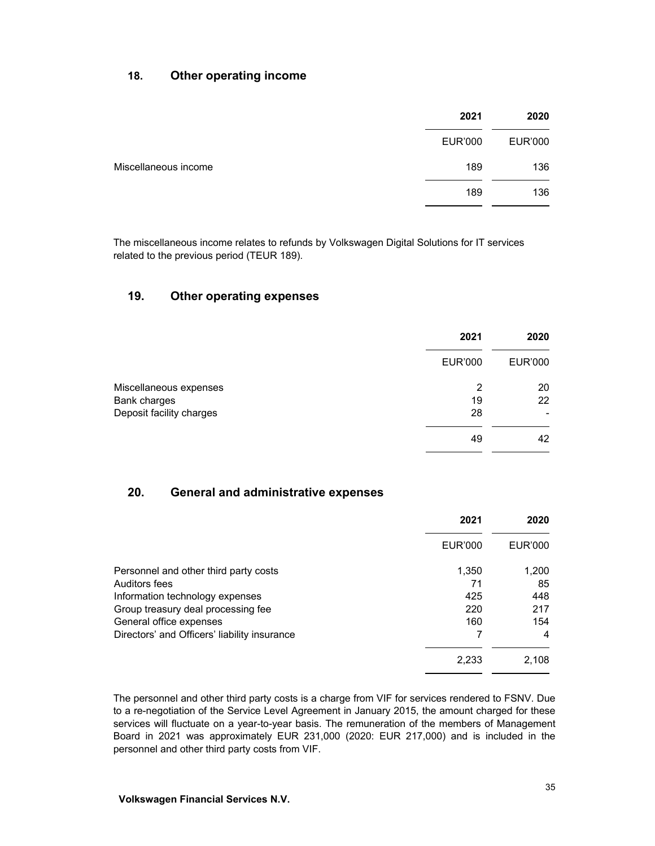## **18. Other operating income**

|                      | 2021    | 2020    |
|----------------------|---------|---------|
|                      | EUR'000 | EUR'000 |
| Miscellaneous income | 189     | 136     |
|                      | 189     | 136     |

The miscellaneous income relates to refunds by Volkswagen Digital Solutions for IT services related to the previous period (TEUR 189).

## **19. Other operating expenses**

|                          | 2021           | 2020           |
|--------------------------|----------------|----------------|
|                          | <b>EUR'000</b> | <b>EUR'000</b> |
| Miscellaneous expenses   | 2              | 20             |
| Bank charges             | 19             | 22             |
| Deposit facility charges | 28             |                |
|                          | 49             | 42             |

## **20. General and administrative expenses**

|                                              | 2021    | 2020    |
|----------------------------------------------|---------|---------|
|                                              | EUR'000 | EUR'000 |
| Personnel and other third party costs        | 1,350   | 1,200   |
| Auditors fees                                | 71      | 85      |
| Information technology expenses              | 425     | 448     |
| Group treasury deal processing fee           | 220     | 217     |
| General office expenses                      | 160     | 154     |
| Directors' and Officers' liability insurance |         | 4       |
|                                              | 2,233   | 2,108   |

The personnel and other third party costs is a charge from VIF for services rendered to FSNV. Due to a re-negotiation of the Service Level Agreement in January 2015, the amount charged for these services will fluctuate on a year-to-year basis. The remuneration of the members of Management Board in 2021 was approximately EUR 231,000 (2020: EUR 217,000) and is included in the personnel and other third party costs from VIF.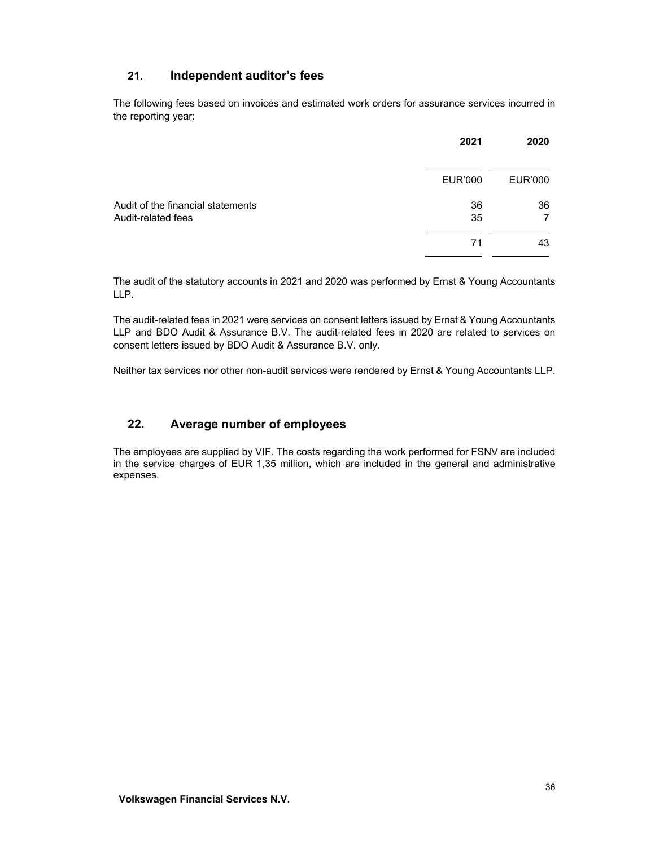## **21. Independent auditor's fees**

The following fees based on invoices and estimated work orders for assurance services incurred in the reporting year:

|                                                         | 2021           | 2020    |
|---------------------------------------------------------|----------------|---------|
|                                                         | <b>EUR'000</b> | EUR'000 |
| Audit of the financial statements<br>Audit-related fees | 36<br>35       | 36<br>7 |
|                                                         | 71             | 43      |

The audit of the statutory accounts in 2021 and 2020 was performed by Ernst & Young Accountants LLP.

The audit-related fees in 2021 were services on consent letters issued by Ernst & Young Accountants LLP and BDO Audit & Assurance B.V. The audit-related fees in 2020 are related to services on consent letters issued by BDO Audit & Assurance B.V. only.

Neither tax services nor other non-audit services were rendered by Ernst & Young Accountants LLP.

## **22. Average number of employees**

The employees are supplied by VIF. The costs regarding the work performed for FSNV are included in the service charges of EUR 1,35 million, which are included in the general and administrative expenses.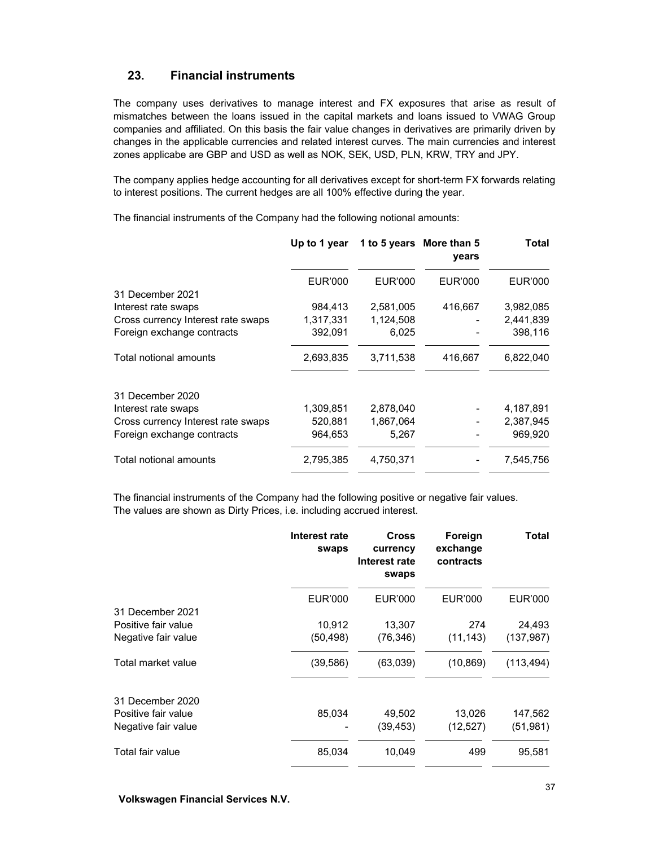## **23. Financial instruments**

The company uses derivatives to manage interest and FX exposures that arise as result of mismatches between the loans issued in the capital markets and loans issued to VWAG Group companies and affiliated. On this basis the fair value changes in derivatives are primarily driven by changes in the applicable currencies and related interest curves. The main currencies and interest zones applicabe are GBP and USD as well as NOK, SEK, USD, PLN, KRW, TRY and JPY.

The company applies hedge accounting for all derivatives except for short-term FX forwards relating to interest positions. The current hedges are all 100% effective during the year.

The financial instruments of the Company had the following notional amounts:

|                                    |           | Up to 1 year 1 to 5 years More than 5 | vears   | Total     |
|------------------------------------|-----------|---------------------------------------|---------|-----------|
|                                    | EUR'000   | EUR'000                               | EUR'000 | EUR'000   |
| 31 December 2021                   |           |                                       |         |           |
| Interest rate swaps                | 984,413   | 2,581,005                             | 416,667 | 3,982,085 |
| Cross currency Interest rate swaps | 1,317,331 | 1,124,508                             |         | 2,441,839 |
| Foreign exchange contracts         | 392,091   | 6,025                                 |         | 398,116   |
| Total notional amounts             | 2,693,835 | 3,711,538                             | 416,667 | 6,822,040 |
| 31 December 2020                   |           |                                       |         |           |
| Interest rate swaps                | 1,309,851 | 2,878,040                             |         | 4,187,891 |
| Cross currency Interest rate swaps | 520,881   | 1,867,064                             |         | 2,387,945 |
| Foreign exchange contracts         | 964,653   | 5,267                                 |         | 969,920   |
| Total notional amounts             | 2,795,385 | 4,750,371                             |         | 7,545,756 |
|                                    |           |                                       |         |           |

The financial instruments of the Company had the following positive or negative fair values. The values are shown as Dirty Prices, i.e. including accrued interest.

|                     | Interest rate<br>swaps | <b>Cross</b><br>currency<br>Interest rate<br>swaps | Foreign<br>exchange<br>contracts | Total          |
|---------------------|------------------------|----------------------------------------------------|----------------------------------|----------------|
|                     | <b>EUR'000</b>         | <b>EUR'000</b>                                     | EUR'000                          | <b>EUR'000</b> |
| 31 December 2021    |                        |                                                    |                                  |                |
| Positive fair value | 10,912                 | 13,307                                             | 274                              | 24,493         |
| Negative fair value | (50,498)               | (76, 346)                                          | (11, 143)                        | (137, 987)     |
| Total market value  | (39, 586)              | (63,039)                                           | (10, 869)                        | (113, 494)     |
| 31 December 2020    |                        |                                                    |                                  |                |
| Positive fair value | 85,034                 | 49,502                                             | 13,026                           | 147,562        |
| Negative fair value |                        | (39,453)                                           | (12, 527)                        | (51,981)       |
| Total fair value    | 85,034                 | 10,049                                             | 499                              | 95,581         |

**Volkswagen Financial Services N.V.**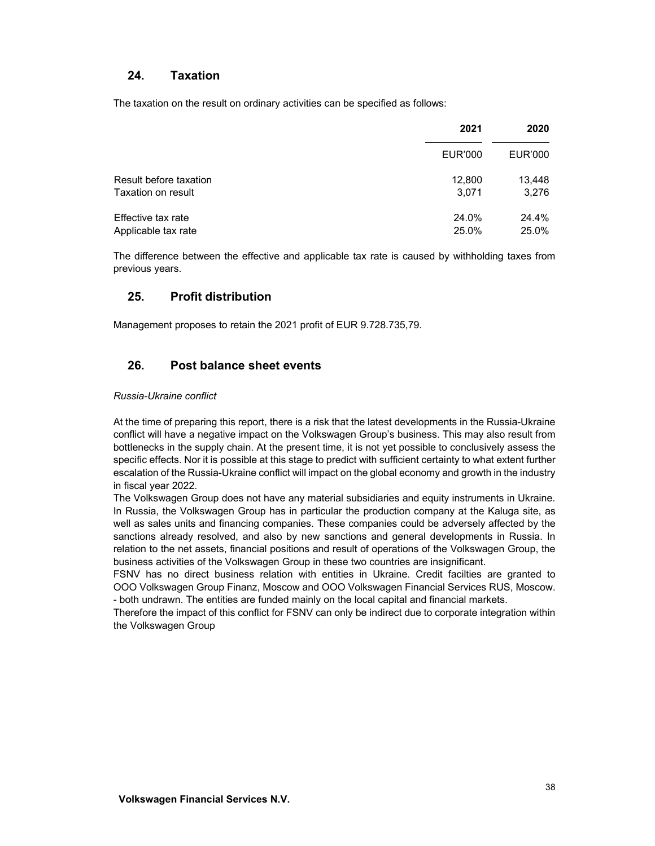## **24. Taxation**

The taxation on the result on ordinary activities can be specified as follows:

|                        | 2021    | 2020    |
|------------------------|---------|---------|
|                        | EUR'000 | EUR'000 |
| Result before taxation | 12,800  | 13,448  |
| Taxation on result     | 3,071   | 3,276   |
| Effective tax rate     | 24.0%   | 24.4%   |
| Applicable tax rate    | 25.0%   | 25.0%   |

The difference between the effective and applicable tax rate is caused by withholding taxes from previous years.

## **25. Profit distribution**

Management proposes to retain the 2021 profit of EUR 9.728.735,79.

## **26. Post balance sheet events**

#### *Russia-Ukraine conflict*

At the time of preparing this report, there is a risk that the latest developments in the Russia-Ukraine conflict will have a negative impact on the Volkswagen Group's business. This may also result from bottlenecks in the supply chain. At the present time, it is not yet possible to conclusively assess the specific effects. Nor it is possible at this stage to predict with sufficient certainty to what extent further escalation of the Russia-Ukraine conflict will impact on the global economy and growth in the industry in fiscal year 2022.

The Volkswagen Group does not have any material subsidiaries and equity instruments in Ukraine. In Russia, the Volkswagen Group has in particular the production company at the Kaluga site, as well as sales units and financing companies. These companies could be adversely affected by the sanctions already resolved, and also by new sanctions and general developments in Russia. In relation to the net assets, financial positions and result of operations of the Volkswagen Group, the business activities of the Volkswagen Group in these two countries are insignificant.

FSNV has no direct business relation with entities in Ukraine. Credit facilties are granted to OOO Volkswagen Group Finanz, Moscow and OOO Volkswagen Financial Services RUS, Moscow. - both undrawn. The entities are funded mainly on the local capital and financial markets.

Therefore the impact of this conflict for FSNV can only be indirect due to corporate integration within the Volkswagen Group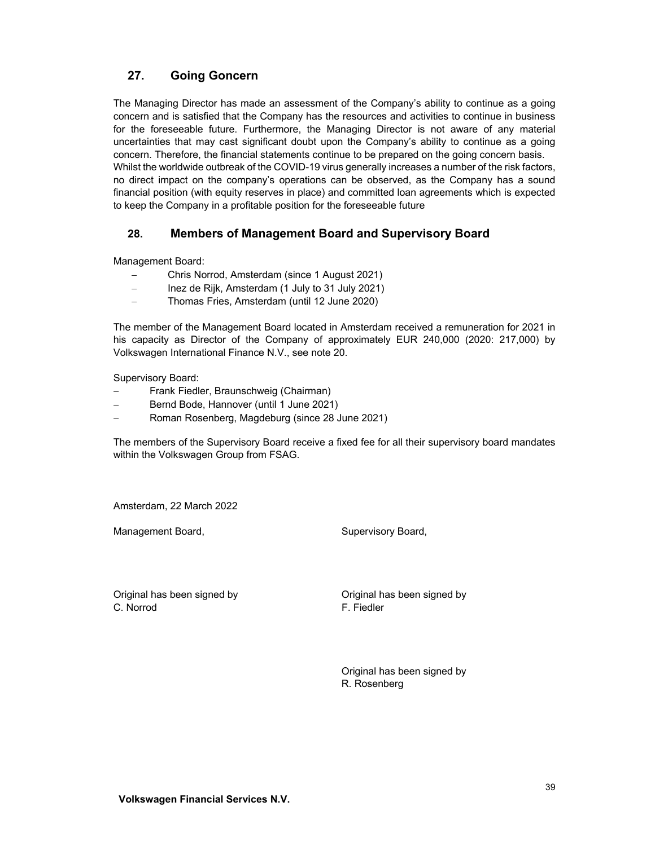# **27. Going Goncern**

The Managing Director has made an assessment of the Company's ability to continue as a going concern and is satisfied that the Company has the resources and activities to continue in business for the foreseeable future. Furthermore, the Managing Director is not aware of any material uncertainties that may cast significant doubt upon the Company's ability to continue as a going concern. Therefore, the financial statements continue to be prepared on the going concern basis. Whilst the worldwide outbreak of the COVID-19 virus generally increases a number of the risk factors, no direct impact on the company's operations can be observed, as the Company has a sound financial position (with equity reserves in place) and committed loan agreements which is expected to keep the Company in a profitable position for the foreseeable future

## **28. Members of Management Board and Supervisory Board**

Management Board:

- Chris Norrod, Amsterdam (since 1 August 2021)
- Inez de Rijk, Amsterdam (1 July to 31 July 2021)
- Thomas Fries, Amsterdam (until 12 June 2020)

The member of the Management Board located in Amsterdam received a remuneration for 2021 in his capacity as Director of the Company of approximately EUR 240,000 (2020: 217,000) by Volkswagen International Finance N.V., see note 20.

Supervisory Board:

- Frank Fiedler, Braunschweig (Chairman)
- Bernd Bode, Hannover (until 1 June 2021)
- Roman Rosenberg, Magdeburg (since 28 June 2021)

The members of the Supervisory Board receive a fixed fee for all their supervisory board mandates within the Volkswagen Group from FSAG.

Amsterdam, 22 March 2022

Management Board, Supervisory Board, Supervisory Board,

Original has been signed by Original has been signed by C. Norrod F. Fiedler

 Original has been signed by R. Rosenberg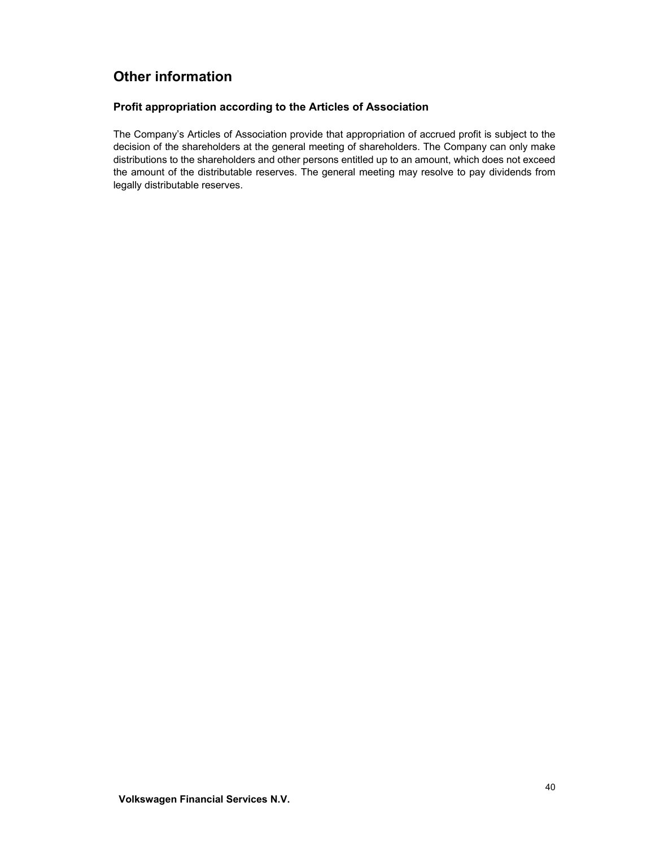# **Other information**

## **Profit appropriation according to the Articles of Association**

The Company's Articles of Association provide that appropriation of accrued profit is subject to the decision of the shareholders at the general meeting of shareholders. The Company can only make distributions to the shareholders and other persons entitled up to an amount, which does not exceed the amount of the distributable reserves. The general meeting may resolve to pay dividends from legally distributable reserves.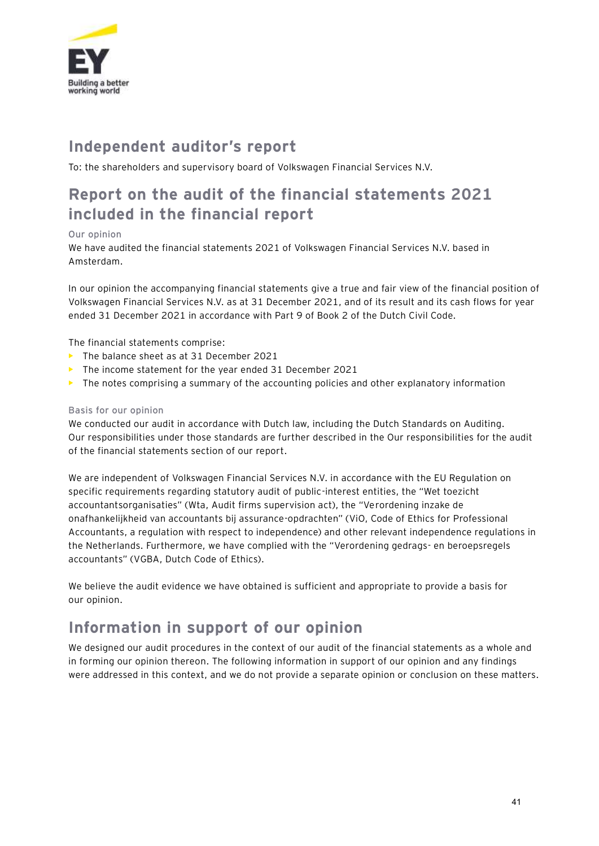

# **Independent auditor's report**

To: the shareholders and supervisory board of Volkswagen Financial Services N.V.

# **Report on the audit of the financial statements 2021 included in the financial report**

## Our opinion

We have audited the financial statements 2021 of Volkswagen Financial Services N.V. based in Amsterdam.

In our opinion the accompanying financial statements give a true and fair view of the financial position of Volkswagen Financial Services N.V. as at 31 December 2021, and of its result and its cash flows for year ended 31 December 2021 in accordance with Part 9 of Book 2 of the Dutch Civil Code.

The financial statements comprise:

- **•** The balance sheet as at 31 December 2021
- **•** The income statement for the year ended 31 December 2021
- **•** The notes comprising a summary of the accounting policies and other explanatory information

## Basis for our opinion

We conducted our audit in accordance with Dutch law, including the Dutch Standards on Auditing. Our responsibilities under those standards are further described in the Our responsibilities for the audit of the financial statements section of our report.

We are independent of Volkswagen Financial Services N.V. in accordance with the EU Regulation on specific requirements regarding statutory audit of public-interest entities, the "Wet toezicht accountantsorganisaties" (Wta, Audit firms supervision act), the "Verordening inzake de onafhankelijkheid van accountants bij assurance-opdrachten" (ViO, Code of Ethics for Professional Accountants, a regulation with respect to independence) and other relevant independence regulations in the Netherlands. Furthermore, we have complied with the "Verordening gedrags- en beroepsregels accountants" (VGBA, Dutch Code of Ethics).

We believe the audit evidence we have obtained is sufficient and appropriate to provide a basis for our opinion.

# **Information in support of our opinion**

We designed our audit procedures in the context of our audit of the financial statements as a whole and in forming our opinion thereon. The following information in support of our opinion and any findings were addressed in this context, and we do not provide a separate opinion or conclusion on these matters.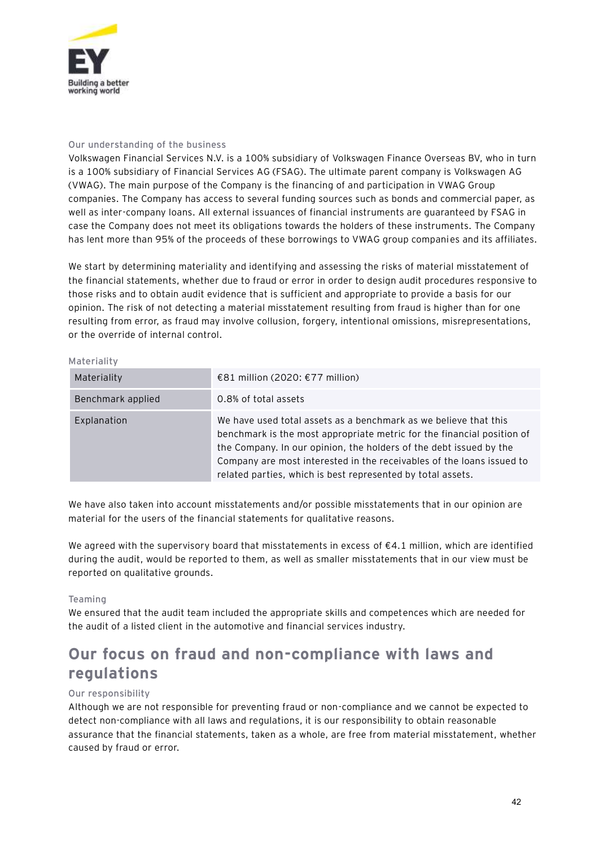

## Our understanding of the business

Volkswagen Financial Services N.V. is a 100% subsidiary of Volkswagen Finance Overseas BV, who in turn is a 100% subsidiary of Financial Services AG (FSAG). The ultimate parent company is Volkswagen AG (VWAG). The main purpose of the Company is the financing of and participation in VWAG Group companies. The Company has access to several funding sources such as bonds and commercial paper, as well as inter-company loans. All external issuances of financial instruments are guaranteed by FSAG in case the Company does not meet its obligations towards the holders of these instruments. The Company has lent more than 95% of the proceeds of these borrowings to VWAG group companies and its affiliates.

We start by determining materiality and identifying and assessing the risks of material misstatement of the financial statements, whether due to fraud or error in order to design audit procedures responsive to those risks and to obtain audit evidence that is sufficient and appropriate to provide a basis for our opinion. The risk of not detecting a material misstatement resulting from fraud is higher than for one resulting from error, as fraud may involve collusion, forgery, intentional omissions, misrepresentations, or the override of internal control.

#### Materiality

| Materiality       | €81 million (2020: €77 million)                                                                                                                                                                                                                                                                                                                          |
|-------------------|----------------------------------------------------------------------------------------------------------------------------------------------------------------------------------------------------------------------------------------------------------------------------------------------------------------------------------------------------------|
| Benchmark applied | 0.8% of total assets                                                                                                                                                                                                                                                                                                                                     |
| Explanation       | We have used total assets as a benchmark as we believe that this<br>benchmark is the most appropriate metric for the financial position of<br>the Company. In our opinion, the holders of the debt issued by the<br>Company are most interested in the receivables of the loans issued to<br>related parties, which is best represented by total assets. |

We have also taken into account misstatements and/or possible misstatements that in our opinion are material for the users of the financial statements for qualitative reasons.

We agreed with the supervisory board that misstatements in excess of  $\epsilon$ 4.1 million, which are identified during the audit, would be reported to them, as well as smaller misstatements that in our view must be reported on qualitative grounds.

#### Teaming

We ensured that the audit team included the appropriate skills and competences which are needed for the audit of a listed client in the automotive and financial services industry.

# **Our focus on fraud and non-compliance with laws and regulations**

#### Our responsibility

Although we are not responsible for preventing fraud or non-compliance and we cannot be expected to detect non-compliance with all laws and regulations, it is our responsibility to obtain reasonable assurance that the financial statements, taken as a whole, are free from material misstatement, whether caused by fraud or error.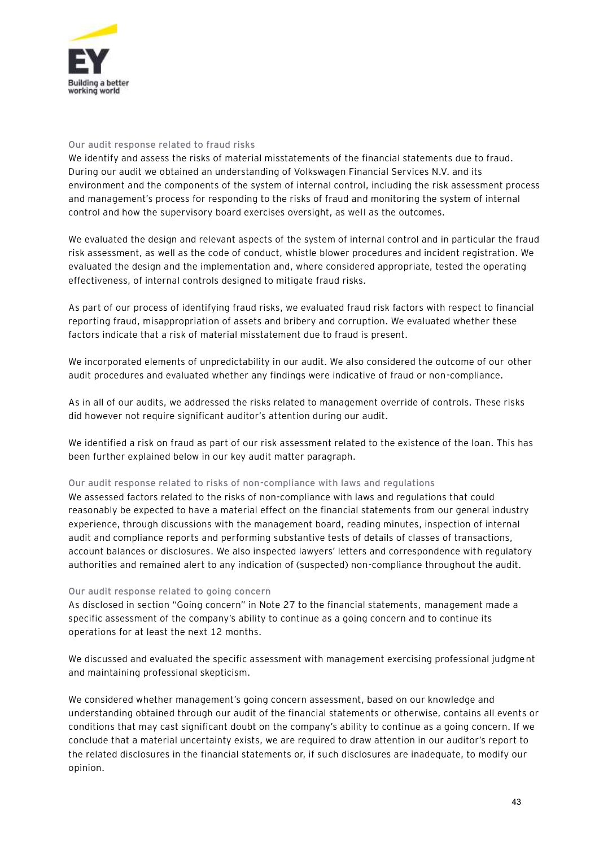

### Our audit response related to fraud risks

We identify and assess the risks of material misstatements of the financial statements due to fraud. During our audit we obtained an understanding of Volkswagen Financial Services N.V. and its environment and the components of the system of internal control, including the risk assessment process and management's process for responding to the risks of fraud and monitoring the system of internal control and how the supervisory board exercises oversight, as well as the outcomes.

We evaluated the design and relevant aspects of the system of internal control and in particular the fraud risk assessment, as well as the code of conduct, whistle blower procedures and incident registration. We evaluated the design and the implementation and, where considered appropriate, tested the operating effectiveness, of internal controls designed to mitigate fraud risks.

As part of our process of identifying fraud risks, we evaluated fraud risk factors with respect to financial reporting fraud, misappropriation of assets and bribery and corruption. We evaluated whether these factors indicate that a risk of material misstatement due to fraud is present.

We incorporated elements of unpredictability in our audit. We also considered the outcome of our other audit procedures and evaluated whether any findings were indicative of fraud or non-compliance.

As in all of our audits, we addressed the risks related to management override of controls. These risks did however not require significant auditor's attention during our audit.

We identified a risk on fraud as part of our risk assessment related to the existence of the loan. This has been further explained below in our key audit matter paragraph.

#### Our audit response related to risks of non-compliance with laws and regulations

We assessed factors related to the risks of non-compliance with laws and regulations that could reasonably be expected to have a material effect on the financial statements from our general industry experience, through discussions with the management board, reading minutes, inspection of internal audit and compliance reports and performing substantive tests of details of classes of transactions, account balances or disclosures. We also inspected lawyers' letters and correspondence with regulatory authorities and remained alert to any indication of (suspected) non-compliance throughout the audit.

#### Our audit response related to going concern

As disclosed in section "Going concern" in Note 27 to the financial statements, management made a specific assessment of the company's ability to continue as a going concern and to continue its operations for at least the next 12 months.

We discussed and evaluated the specific assessment with management exercising professional judgment and maintaining professional skepticism.

We considered whether management's going concern assessment, based on our knowledge and understanding obtained through our audit of the financial statements or otherwise, contains all events or conditions that may cast significant doubt on the company's ability to continue as a going concern. If we conclude that a material uncertainty exists, we are required to draw attention in our auditor's report to the related disclosures in the financial statements or, if such disclosures are inadequate, to modify our opinion.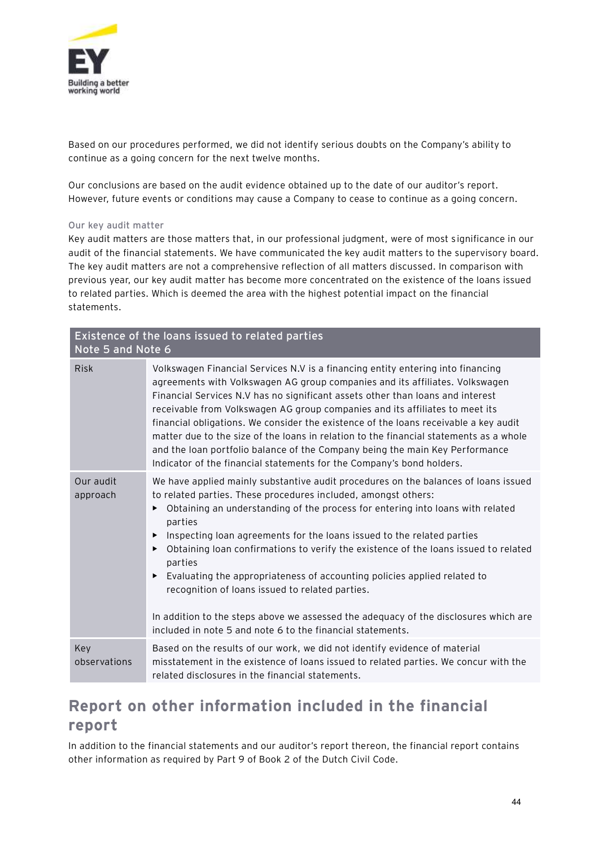

Based on our procedures performed, we did not identify serious doubts on the Company's ability to continue as a going concern for the next twelve months.

Our conclusions are based on the audit evidence obtained up to the date of our auditor's report. However, future events or conditions may cause a Company to cease to continue as a going concern.

### Our key audit matter

Key audit matters are those matters that, in our professional judgment, were of most significance in our audit of the financial statements. We have communicated the key audit matters to the supervisory board. The key audit matters are not a comprehensive reflection of all matters discussed. In comparison with previous year, our key audit matter has become more concentrated on the existence of the loans issued to related parties. Which is deemed the area with the highest potential impact on the financial statements.

| Existence of the loans issued to related parties<br>Note 5 and Note 6 |                                                                                                                                                                                                                                                                                                                                                                                                                                                                                                                                                                                                                                                                                                                                         |  |
|-----------------------------------------------------------------------|-----------------------------------------------------------------------------------------------------------------------------------------------------------------------------------------------------------------------------------------------------------------------------------------------------------------------------------------------------------------------------------------------------------------------------------------------------------------------------------------------------------------------------------------------------------------------------------------------------------------------------------------------------------------------------------------------------------------------------------------|--|
| <b>Risk</b>                                                           | Volkswagen Financial Services N.V is a financing entity entering into financing<br>agreements with Volkswagen AG group companies and its affiliates. Volkswagen<br>Financial Services N.V has no significant assets other than loans and interest<br>receivable from Volkswagen AG group companies and its affiliates to meet its<br>financial obligations. We consider the existence of the loans receivable a key audit<br>matter due to the size of the loans in relation to the financial statements as a whole<br>and the loan portfolio balance of the Company being the main Key Performance<br>Indicator of the financial statements for the Company's bond holders.                                                            |  |
| Our audit<br>approach                                                 | We have applied mainly substantive audit procedures on the balances of loans issued<br>to related parties. These procedures included, amongst others:<br>Obtaining an understanding of the process for entering into loans with related<br>▶<br>parties<br>Inspecting loan agreements for the loans issued to the related parties<br>▶<br>Obtaining loan confirmations to verify the existence of the loans issued to related<br>▶<br>parties<br>Evaluating the appropriateness of accounting policies applied related to<br>▶<br>recognition of loans issued to related parties.<br>In addition to the steps above we assessed the adequacy of the disclosures which are<br>included in note 5 and note 6 to the financial statements. |  |
| Key<br>observations                                                   | Based on the results of our work, we did not identify evidence of material<br>misstatement in the existence of loans issued to related parties. We concur with the<br>related disclosures in the financial statements.                                                                                                                                                                                                                                                                                                                                                                                                                                                                                                                  |  |

# **Report on other information included in the financial report**

In addition to the financial statements and our auditor's report thereon, the financial report contains other information as required by Part 9 of Book 2 of the Dutch Civil Code.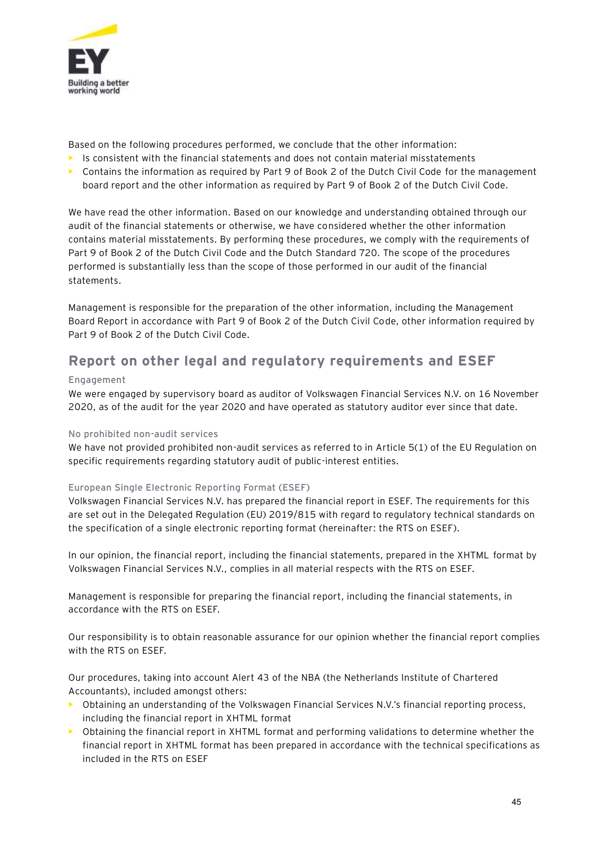

Based on the following procedures performed, we conclude that the other information:

- **•** Is consistent with the financial statements and does not contain material misstatements
- **•** Contains the information as required by Part 9 of Book 2 of the Dutch Civil Code for the management board report and the other information as required by Part 9 of Book 2 of the Dutch Civil Code.

We have read the other information. Based on our knowledge and understanding obtained through our audit of the financial statements or otherwise, we have considered whether the other information contains material misstatements. By performing these procedures, we comply with the requirements of Part 9 of Book 2 of the Dutch Civil Code and the Dutch Standard 720. The scope of the procedures performed is substantially less than the scope of those performed in our audit of the financial statements.

Management is responsible for the preparation of the other information, including the Management Board Report in accordance with Part 9 of Book 2 of the Dutch Civil Code, other information required by Part 9 of Book 2 of the Dutch Civil Code.

# **Report on other legal and regulatory requirements and ESEF**

## Engagement

We were engaged by supervisory board as auditor of Volkswagen Financial Services N.V. on 16 November 2020, as of the audit for the year 2020 and have operated as statutory auditor ever since that date.

## No prohibited non-audit services

We have not provided prohibited non-audit services as referred to in Article 5(1) of the EU Regulation on specific requirements regarding statutory audit of public-interest entities.

## European Single Electronic Reporting Format (ESEF)

Volkswagen Financial Services N.V. has prepared the financial report in ESEF. The requirements for this are set out in the Delegated Regulation (EU) 2019/815 with regard to regulatory technical standards on the specification of a single electronic reporting format (hereinafter: the RTS on ESEF).

In our opinion, the financial report, including the financial statements, prepared in the XHTML format by Volkswagen Financial Services N.V., complies in all material respects with the RTS on ESEF.

Management is responsible for preparing the financial report, including the financial statements, in accordance with the RTS on ESEF.

Our responsibility is to obtain reasonable assurance for our opinion whether the financial report complies with the RTS on ESEF.

Our procedures, taking into account Alert 43 of the NBA (the Netherlands Institute of Chartered Accountants), included amongst others:

- **•** Obtaining an understanding of the Volkswagen Financial Services N.V.'s financial reporting process, including the financial report in XHTML format
- **•** Obtaining the financial report in XHTML format and performing validations to determine whether the financial report in XHTML format has been prepared in accordance with the technical specifications as included in the RTS on ESEF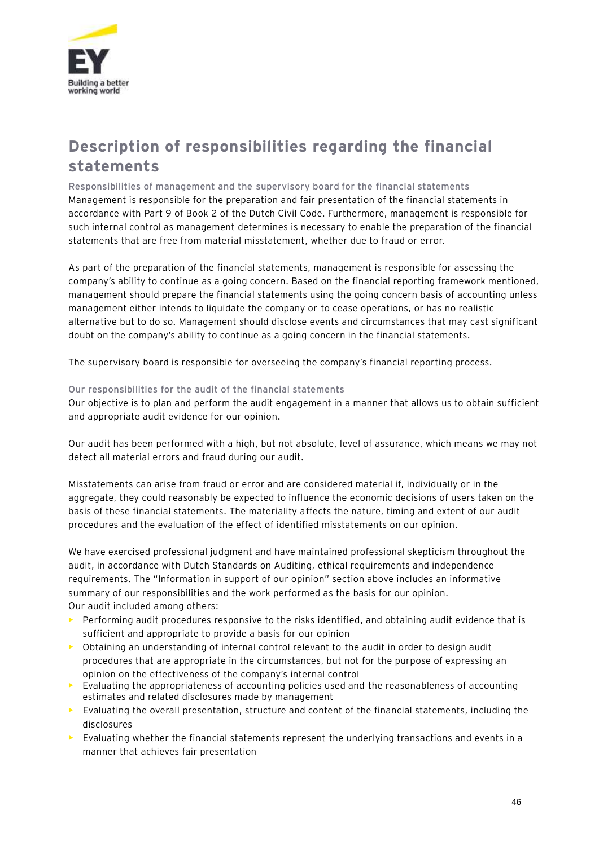

# **Description of responsibilities regarding the financial statements**

Responsibilities of management and the supervisory board for the financial statements Management is responsible for the preparation and fair presentation of the financial statements in accordance with Part 9 of Book 2 of the Dutch Civil Code. Furthermore, management is responsible for such internal control as management determines is necessary to enable the preparation of the financial statements that are free from material misstatement, whether due to fraud or error.

As part of the preparation of the financial statements, management is responsible for assessing the company's ability to continue as a going concern. Based on the financial reporting framework mentioned, management should prepare the financial statements using the going concern basis of accounting unless management either intends to liquidate the company or to cease operations, or has no realistic alternative but to do so. Management should disclose events and circumstances that may cast significant doubt on the company's ability to continue as a going concern in the financial statements.

The supervisory board is responsible for overseeing the company's financial reporting process.

## Our responsibilities for the audit of the financial statements

Our objective is to plan and perform the audit engagement in a manner that allows us to obtain sufficient and appropriate audit evidence for our opinion.

Our audit has been performed with a high, but not absolute, level of assurance, which means we may not detect all material errors and fraud during our audit.

Misstatements can arise from fraud or error and are considered material if, individually or in the aggregate, they could reasonably be expected to influence the economic decisions of users taken on the basis of these financial statements. The materiality affects the nature, timing and extent of our audit procedures and the evaluation of the effect of identified misstatements on our opinion.

We have exercised professional judgment and have maintained professional skepticism throughout the audit, in accordance with Dutch Standards on Auditing, ethical requirements and independence requirements. The "Information in support of our opinion" section above includes an informative summary of our responsibilities and the work performed as the basis for our opinion. Our audit included among others:

- **•** Performing audit procedures responsive to the risks identified, and obtaining audit evidence that is sufficient and appropriate to provide a basis for our opinion
- **•** Obtaining an understanding of internal control relevant to the audit in order to design audit procedures that are appropriate in the circumstances, but not for the purpose of expressing an opinion on the effectiveness of the company's internal control
- **•** Evaluating the appropriateness of accounting policies used and the reasonableness of accounting estimates and related disclosures made by management
- **•** Evaluating the overall presentation, structure and content of the financial statements, including the disclosures
- **•** Evaluating whether the financial statements represent the underlying transactions and events in a manner that achieves fair presentation